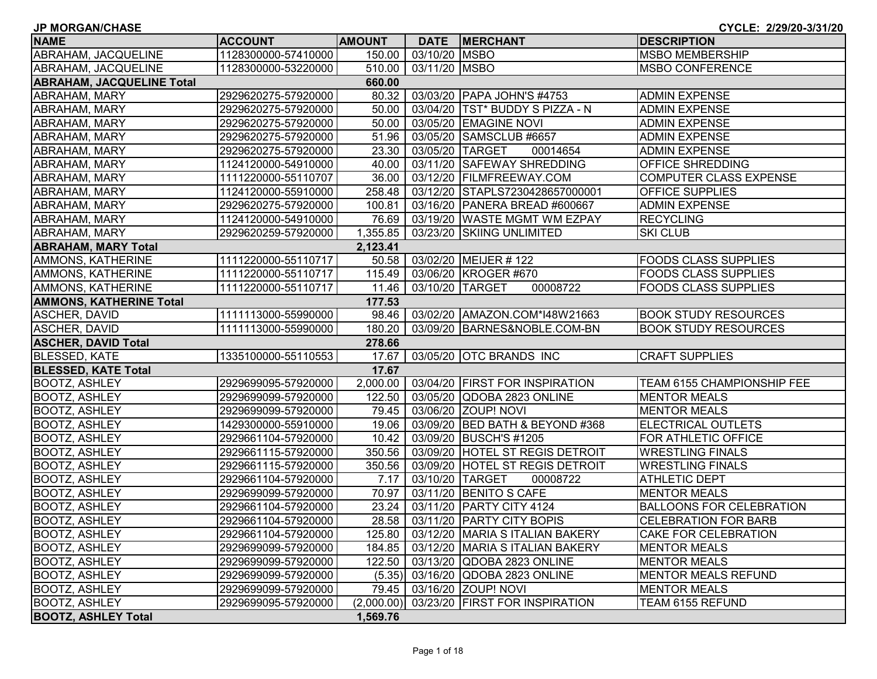| <b>JP MORGAN/CHASE</b>           |                     |               |               |                                   | CYCLE: 2/29/20-3/31/20            |
|----------------------------------|---------------------|---------------|---------------|-----------------------------------|-----------------------------------|
| <b>NAME</b>                      | <b>ACCOUNT</b>      | <b>AMOUNT</b> | <b>DATE</b>   | <b>MERCHANT</b>                   | <b>DESCRIPTION</b>                |
| ABRAHAM, JACQUELINE              | 1128300000-57410000 | 150.00        | 03/10/20 MSBO |                                   | <b>MSBO MEMBERSHIP</b>            |
| ABRAHAM, JACQUELINE              | 1128300000-53220000 | 510.00        | 03/11/20 MSBO |                                   | <b>MSBO CONFERENCE</b>            |
| <b>ABRAHAM, JACQUELINE Total</b> |                     | 660.00        |               |                                   |                                   |
| <b>ABRAHAM, MARY</b>             | 2929620275-57920000 | 80.32         |               | 03/03/20 PAPA JOHN'S #4753        | <b>ADMIN EXPENSE</b>              |
| ABRAHAM, MARY                    | 2929620275-57920000 | 50.00         |               | 03/04/20   TST* BUDDY S PIZZA - N | <b>ADMIN EXPENSE</b>              |
| ABRAHAM, MARY                    | 2929620275-57920000 | 50.00         |               | 03/05/20 EMAGINE NOVI             | <b>ADMIN EXPENSE</b>              |
| <b>ABRAHAM, MARY</b>             | 2929620275-57920000 | 51.96         |               | 03/05/20 SAMSCLUB #6657           | <b>ADMIN EXPENSE</b>              |
| <b>ABRAHAM, MARY</b>             | 2929620275-57920000 | 23.30         |               | 03/05/20 TARGET<br>00014654       | <b>ADMIN EXPENSE</b>              |
| ABRAHAM, MARY                    | 1124120000-54910000 | 40.00         |               | 03/11/20 SAFEWAY SHREDDING        | <b>OFFICE SHREDDING</b>           |
| ABRAHAM, MARY                    | 1111220000-55110707 | 36.00         |               | 03/12/20 FILMFREEWAY.COM          | COMPUTER CLASS EXPENSE            |
| ABRAHAM, MARY                    | 1124120000-55910000 | 258.48        |               | 03/12/20 STAPLS7230428657000001   | <b>OFFICE SUPPLIES</b>            |
| ABRAHAM, MARY                    | 2929620275-57920000 | 100.81        |               | 03/16/20 PANERA BREAD #600667     | <b>ADMIN EXPENSE</b>              |
| <b>ABRAHAM, MARY</b>             | 1124120000-54910000 | 76.69         |               | 03/19/20 WASTE MGMT WM EZPAY      | <b>RECYCLING</b>                  |
| ABRAHAM, MARY                    | 2929620259-57920000 | 1,355.85      |               | 03/23/20 SKIING UNLIMITED         | <b>SKI CLUB</b>                   |
| <b>ABRAHAM, MARY Total</b>       |                     | 2,123.41      |               |                                   |                                   |
| <b>AMMONS, KATHERINE</b>         | 1111220000-55110717 | 50.58         |               | 03/02/20 MEIJER # 122             | <b>FOODS CLASS SUPPLIES</b>       |
| <b>AMMONS, KATHERINE</b>         | 1111220000-55110717 | 115.49        |               | 03/06/20 KROGER #670              | <b>FOODS CLASS SUPPLIES</b>       |
| <b>AMMONS, KATHERINE</b>         | 1111220000-55110717 | 11.46         |               | 03/10/20 TARGET<br>00008722       | <b>FOODS CLASS SUPPLIES</b>       |
| <b>AMMONS, KATHERINE Total</b>   |                     | 177.53        |               |                                   |                                   |
| ASCHER, DAVID                    | 1111113000-55990000 | 98.46         |               | 03/02/20 AMAZON.COM*I48W21663     | <b>BOOK STUDY RESOURCES</b>       |
| <b>ASCHER, DAVID</b>             | 1111113000-55990000 | 180.20        |               | 03/09/20 BARNES&NOBLE.COM-BN      | <b>BOOK STUDY RESOURCES</b>       |
| <b>ASCHER, DAVID Total</b>       |                     | 278.66        |               |                                   |                                   |
| <b>BLESSED, KATE</b>             | 1335100000-55110553 | 17.67         |               | 03/05/20 OTC BRANDS INC           | <b>CRAFT SUPPLIES</b>             |
| <b>BLESSED, KATE Total</b>       |                     | 17.67         |               |                                   |                                   |
| <b>BOOTZ, ASHLEY</b>             | 2929699095-57920000 | 2,000.00      |               | 03/04/20 FIRST FOR INSPIRATION    | <b>TEAM 6155 CHAMPIONSHIP FEE</b> |
| <b>BOOTZ, ASHLEY</b>             | 2929699099-57920000 | 122.50        |               | 03/05/20 QDOBA 2823 ONLINE        | <b>MENTOR MEALS</b>               |
| <b>BOOTZ, ASHLEY</b>             | 2929699099-57920000 | 79.45         |               | 03/06/20 ZOUP! NOVI               | <b>MENTOR MEALS</b>               |
| <b>BOOTZ, ASHLEY</b>             | 1429300000-55910000 | 19.06         |               | 03/09/20 BED BATH & BEYOND #368   | <b>ELECTRICAL OUTLETS</b>         |
| <b>BOOTZ, ASHLEY</b>             | 2929661104-57920000 | 10.42         |               | 03/09/20 BUSCH'S #1205            | <b>FOR ATHLETIC OFFICE</b>        |
| <b>BOOTZ, ASHLEY</b>             | 2929661115-57920000 | 350.56        |               | 03/09/20 HOTEL ST REGIS DETROIT   | <b>WRESTLING FINALS</b>           |
| <b>BOOTZ, ASHLEY</b>             | 2929661115-57920000 | 350.56        |               | 03/09/20 HOTEL ST REGIS DETROIT   | <b>WRESTLING FINALS</b>           |
| <b>BOOTZ, ASHLEY</b>             | 2929661104-57920000 | 7.17          |               | 03/10/20 TARGET<br>00008722       | <b>ATHLETIC DEPT</b>              |
| <b>BOOTZ, ASHLEY</b>             | 2929699099-57920000 | 70.97         |               | 03/11/20 BENITO S CAFE            | <b>MENTOR MEALS</b>               |
| <b>BOOTZ, ASHLEY</b>             | 2929661104-57920000 | 23.24         |               | 03/11/20 PARTY CITY 4124          | <b>BALLOONS FOR CELEBRATION</b>   |
| <b>BOOTZ, ASHLEY</b>             | 2929661104-57920000 |               |               | 28.58 03/11/20 PARTY CITY BOPIS   | <b>CELEBRATION FOR BARB</b>       |
| <b>BOOTZ, ASHLEY</b>             | 2929661104-57920000 | 125.80        |               | 03/12/20 MARIA S ITALIAN BAKERY   | <b>CAKE FOR CELEBRATION</b>       |
| <b>BOOTZ, ASHLEY</b>             | 2929699099-57920000 | 184.85        |               | 03/12/20 MARIA S ITALIAN BAKERY   | <b>MENTOR MEALS</b>               |
| BOOTZ, ASHLEY                    | 2929699099-57920000 | 122.50        |               | 03/13/20 QDOBA 2823 ONLINE        | <b>MENTOR MEALS</b>               |
| <b>BOOTZ, ASHLEY</b>             | 2929699099-57920000 |               |               | (5.35) 03/16/20 QDOBA 2823 ONLINE | <b>MENTOR MEALS REFUND</b>        |
| <b>BOOTZ, ASHLEY</b>             | 2929699099-57920000 | 79.45         |               | 03/16/20 ZOUP! NOVI               | <b>MENTOR MEALS</b>               |
| <b>BOOTZ, ASHLEY</b>             | 2929699095-57920000 | (2,000.00)    |               | 03/23/20 FIRST FOR INSPIRATION    | TEAM 6155 REFUND                  |
| <b>BOOTZ, ASHLEY Total</b>       |                     | 1,569.76      |               |                                   |                                   |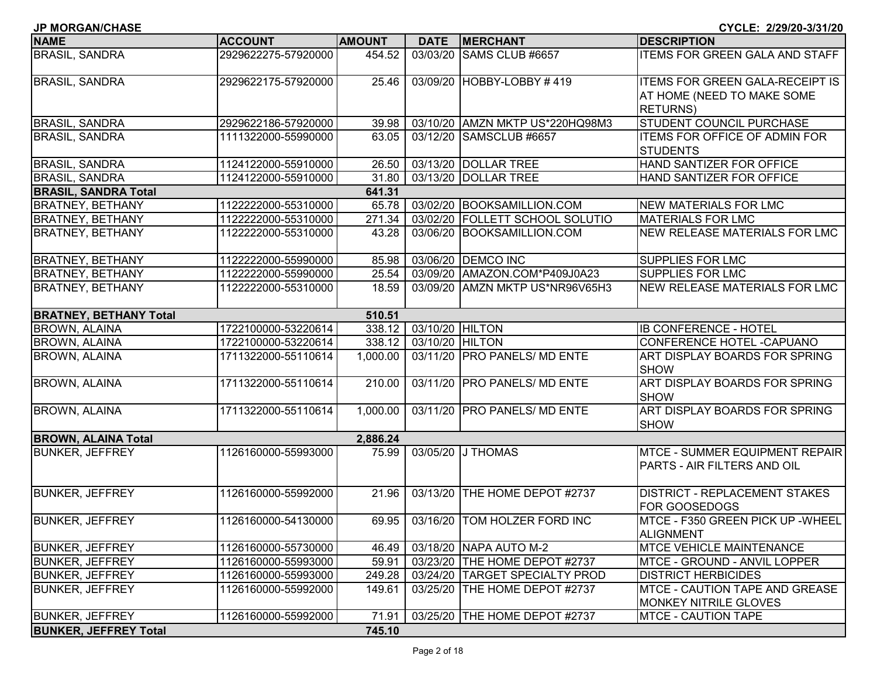| <b>NAME</b>                   | <b>ACCOUNT</b>      | <b>AMOUNT</b> | <b>DATE</b>     | <b>MERCHANT</b>                 | <b>DESCRIPTION</b>                                                   |
|-------------------------------|---------------------|---------------|-----------------|---------------------------------|----------------------------------------------------------------------|
| <b>BRASIL, SANDRA</b>         | 2929622275-57920000 | 454.52        | 03/03/20        | SAMS CLUB #6657                 | <b>ITEMS FOR GREEN GALA AND STAFF</b>                                |
| <b>BRASIL, SANDRA</b>         | 2929622175-57920000 | 25.46         |                 | 03/09/20 HOBBY-LOBBY #419       | <b>ITEMS FOR GREEN GALA-RECEIPT IS</b>                               |
|                               |                     |               |                 |                                 | AT HOME (NEED TO MAKE SOME                                           |
|                               |                     |               |                 |                                 | <b>RETURNS</b> )                                                     |
| <b>BRASIL, SANDRA</b>         | 2929622186-57920000 | 39.98         |                 | 03/10/20 AMZN MKTP US*220HQ98M3 | <b>STUDENT COUNCIL PURCHASE</b>                                      |
| <b>BRASIL, SANDRA</b>         | 1111322000-55990000 | 63.05         |                 | 03/12/20 SAMSCLUB #6657         | <b>ITEMS FOR OFFICE OF ADMIN FOR</b>                                 |
|                               |                     |               |                 |                                 | <b>STUDENTS</b>                                                      |
| <b>BRASIL, SANDRA</b>         | 1124122000-55910000 | 26.50         |                 | 03/13/20 DOLLAR TREE            | HAND SANTIZER FOR OFFICE                                             |
| <b>BRASIL, SANDRA</b>         | 1124122000-55910000 | 31.80         |                 | 03/13/20 DOLLAR TREE            | HAND SANTIZER FOR OFFICE                                             |
| <b>BRASIL, SANDRA Total</b>   |                     | 641.31        |                 |                                 |                                                                      |
| <b>BRATNEY, BETHANY</b>       | 1122222000-55310000 | 65.78         |                 | 03/02/20 BOOKSAMILLION.COM      | NEW MATERIALS FOR LMC                                                |
| <b>BRATNEY, BETHANY</b>       | 1122222000-55310000 | 271.34        |                 | 03/02/20 FOLLETT SCHOOL SOLUTIO | <b>MATERIALS FOR LMC</b>                                             |
| <b>BRATNEY, BETHANY</b>       | 1122222000-55310000 | 43.28         |                 | 03/06/20 BOOKSAMILLION.COM      | <b>NEW RELEASE MATERIALS FOR LMC</b>                                 |
| <b>BRATNEY, BETHANY</b>       | 1122222000-55990000 | 85.98         |                 | 03/06/20 DEMCO INC              | <b>SUPPLIES FOR LMC</b>                                              |
| <b>BRATNEY, BETHANY</b>       | 1122222000-55990000 | 25.54         |                 | 03/09/20 AMAZON.COM*P409J0A23   | <b>SUPPLIES FOR LMC</b>                                              |
| <b>BRATNEY, BETHANY</b>       | 1122222000-55310000 | 18.59         |                 | 03/09/20 AMZN MKTP US*NR96V65H3 | <b>NEW RELEASE MATERIALS FOR LMC</b>                                 |
| <b>BRATNEY, BETHANY Total</b> |                     | 510.51        |                 |                                 |                                                                      |
| <b>BROWN, ALAINA</b>          | 1722100000-53220614 | 338.12        | 03/10/20 HILTON |                                 | <b>IB CONFERENCE - HOTEL</b>                                         |
| <b>BROWN, ALAINA</b>          | 1722100000-53220614 | 338.12        | 03/10/20 HILTON |                                 | CONFERENCE HOTEL - CAPUANO                                           |
| <b>BROWN, ALAINA</b>          | 1711322000-55110614 | 1,000.00      |                 | 03/11/20 PRO PANELS/ MD ENTE    | ART DISPLAY BOARDS FOR SPRING<br><b>SHOW</b>                         |
| <b>BROWN, ALAINA</b>          | 1711322000-55110614 | 210.00        |                 | 03/11/20 PRO PANELS/ MD ENTE    | ART DISPLAY BOARDS FOR SPRING<br><b>SHOW</b>                         |
| <b>BROWN, ALAINA</b>          | 1711322000-55110614 | 1,000.00      |                 | 03/11/20 PRO PANELS/ MD ENTE    | ART DISPLAY BOARDS FOR SPRING<br><b>SHOW</b>                         |
| <b>BROWN, ALAINA Total</b>    |                     | 2,886.24      |                 |                                 |                                                                      |
| <b>BUNKER, JEFFREY</b>        | 1126160000-55993000 | 75.99         |                 | 03/05/20 J THOMAS               | <b>MTCE - SUMMER EQUIPMENT REPAIR</b><br>PARTS - AIR FILTERS AND OIL |
| <b>BUNKER, JEFFREY</b>        | 1126160000-55992000 | 21.96         | 03/13/20        | THE HOME DEPOT #2737            | <b>DISTRICT - REPLACEMENT STAKES</b><br><b>FOR GOOSEDOGS</b>         |
| <b>BUNKER, JEFFREY</b>        | 1126160000-54130000 | 69.95         |                 | 03/16/20 TOM HOLZER FORD INC    | MTCE - F350 GREEN PICK UP - WHEEL<br>ALIGNMENT                       |
| <b>BUNKER, JEFFREY</b>        | 1126160000-55730000 | 46.49         |                 | 03/18/20 NAPA AUTO M-2          | <b>IMTCE VEHICLE MAINTENANCE</b>                                     |
| <b>BUNKER, JEFFREY</b>        | 1126160000-55993000 | 59.91         |                 | 03/23/20 THE HOME DEPOT #2737   | <b>MTCE - GROUND - ANVIL LOPPER</b>                                  |
| <b>BUNKER, JEFFREY</b>        | 1126160000-55993000 | 249.28        |                 | 03/24/20 TARGET SPECIALTY PROD  | <b>DISTRICT HERBICIDES</b>                                           |
| <b>BUNKER, JEFFREY</b>        | 1126160000-55992000 | 149.61        |                 | 03/25/20 THE HOME DEPOT #2737   | MTCE - CAUTION TAPE AND GREASE                                       |
|                               |                     |               |                 |                                 | <b>MONKEY NITRILE GLOVES</b>                                         |
| <b>BUNKER, JEFFREY</b>        | 1126160000-55992000 | 71.91         |                 | 03/25/20 THE HOME DEPOT #2737   | <b>MTCE - CAUTION TAPE</b>                                           |
| <b>BUNKER, JEFFREY Total</b>  |                     | 745.10        |                 |                                 |                                                                      |

**JP MORGAN/CHASE CYCLE: 2/29/20-3/31/20**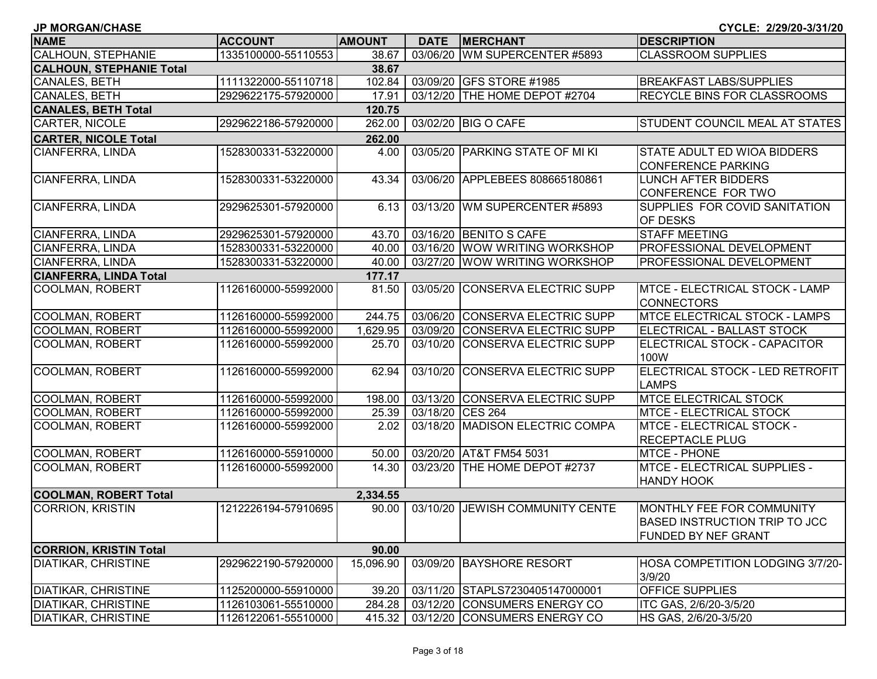| <b>JP MORGAN/CHASE</b>          |                     |               |                  |                                 | CYCLE: 2/29/20-3/31/20                                                                    |
|---------------------------------|---------------------|---------------|------------------|---------------------------------|-------------------------------------------------------------------------------------------|
| <b>NAME</b>                     | <b>ACCOUNT</b>      | <b>AMOUNT</b> |                  | DATE MERCHANT                   | <b>DESCRIPTION</b>                                                                        |
| <b>CALHOUN, STEPHANIE</b>       | 1335100000-55110553 | 38.67         |                  | 03/06/20 WM SUPERCENTER #5893   | <b>CLASSROOM SUPPLIES</b>                                                                 |
| <b>CALHOUN, STEPHANIE Total</b> |                     | 38.67         |                  |                                 |                                                                                           |
| CANALES, BETH                   | 1111322000-55110718 | 102.84        |                  | 03/09/20 GFS STORE #1985        | <b>BREAKFAST LABS/SUPPLIES</b>                                                            |
| CANALES, BETH                   | 2929622175-57920000 | 17.91         |                  | 03/12/20 THE HOME DEPOT #2704   | RECYCLE BINS FOR CLASSROOMS                                                               |
| <b>CANALES, BETH Total</b>      |                     | 120.75        |                  |                                 |                                                                                           |
| <b>CARTER, NICOLE</b>           | 2929622186-57920000 | 262.00        |                  | 03/02/20 BIG O CAFE             | <b>STUDENT COUNCIL MEAL AT STATES</b>                                                     |
| <b>CARTER, NICOLE Total</b>     |                     | 262.00        |                  |                                 |                                                                                           |
| CIANFERRA, LINDA                | 1528300331-53220000 | 4.00          |                  | 03/05/20 PARKING STATE OF MI KI | STATE ADULT ED WIOA BIDDERS<br><b>CONFERENCE PARKING</b>                                  |
| <b>CIANFERRA, LINDA</b>         | 1528300331-53220000 | 43.34         |                  | 03/06/20 APPLEBEES 808665180861 | <b>LUNCH AFTER BIDDERS</b><br>CONFERENCE FOR TWO                                          |
| CIANFERRA, LINDA                | 2929625301-57920000 | 6.13          |                  | 03/13/20 WM SUPERCENTER #5893   | SUPPLIES FOR COVID SANITATION<br><b>OF DESKS</b>                                          |
| CIANFERRA, LINDA                | 2929625301-57920000 | 43.70         |                  | 03/16/20 BENITO S CAFE          | <b>STAFF MEETING</b>                                                                      |
| CIANFERRA, LINDA                | 1528300331-53220000 | 40.00         |                  | 03/16/20 WOW WRITING WORKSHOP   | PROFESSIONAL DEVELOPMENT                                                                  |
| CIANFERRA, LINDA                | 1528300331-53220000 | 40.00         |                  | 03/27/20 WOW WRITING WORKSHOP   | PROFESSIONAL DEVELOPMENT                                                                  |
| <b>CIANFERRA, LINDA Total</b>   |                     | 177.17        |                  |                                 |                                                                                           |
| COOLMAN, ROBERT                 | 1126160000-55992000 | 81.50         |                  | 03/05/20 CONSERVA ELECTRIC SUPP | <b>IMTCE - ELECTRICAL STOCK - LAMP</b><br><b>CONNECTORS</b>                               |
| COOLMAN, ROBERT                 | 1126160000-55992000 | 244.75        |                  | 03/06/20 CONSERVA ELECTRIC SUPP | <b>MTCE ELECTRICAL STOCK - LAMPS</b>                                                      |
| <b>COOLMAN, ROBERT</b>          | 1126160000-55992000 | 1,629.95      |                  | 03/09/20 CONSERVA ELECTRIC SUPP | ELECTRICAL - BALLAST STOCK                                                                |
| <b>COOLMAN, ROBERT</b>          | 1126160000-55992000 | 25.70         |                  | 03/10/20 CONSERVA ELECTRIC SUPP | ELECTRICAL STOCK - CAPACITOR<br>100W                                                      |
| COOLMAN, ROBERT                 | 1126160000-55992000 | 62.94         | 03/10/20         | <b>CONSERVA ELECTRIC SUPP</b>   | ELECTRICAL STOCK - LED RETROFIT<br><b>LAMPS</b>                                           |
| COOLMAN, ROBERT                 | 1126160000-55992000 | 198.00        |                  | 03/13/20 CONSERVA ELECTRIC SUPP | <b>MTCE ELECTRICAL STOCK</b>                                                              |
| COOLMAN, ROBERT                 | 1126160000-55992000 | 25.39         | 03/18/20 CES 264 |                                 | <b>MTCE - ELECTRICAL STOCK</b>                                                            |
| COOLMAN, ROBERT                 | 1126160000-55992000 | 2.02          |                  | 03/18/20 MADISON ELECTRIC COMPA | <b>MTCE - ELECTRICAL STOCK -</b><br><b>RECEPTACLE PLUG</b>                                |
| COOLMAN, ROBERT                 | 1126160000-55910000 | 50.00         |                  | 03/20/20 AT&T FM54 5031         | MTCE - PHONE                                                                              |
| COOLMAN, ROBERT                 | 1126160000-55992000 | 14.30         |                  | 03/23/20 THE HOME DEPOT #2737   | MTCE - ELECTRICAL SUPPLIES -<br><b>HANDY HOOK</b>                                         |
| <b>COOLMAN, ROBERT Total</b>    |                     | 2,334.55      |                  |                                 |                                                                                           |
| <b>CORRION, KRISTIN</b>         | 1212226194-57910695 | 90.00         |                  | 03/10/20 JEWISH COMMUNITY CENTE | MONTHLY FEE FOR COMMUNITY<br> BASED INSTRUCTION TRIP TO JCC<br><b>FUNDED BY NEF GRANT</b> |
| <b>CORRION, KRISTIN Total</b>   |                     | 90.00         |                  |                                 |                                                                                           |
| <b>DIATIKAR, CHRISTINE</b>      | 2929622190-57920000 | 15,096.90     |                  | 03/09/20 BAYSHORE RESORT        | HOSA COMPETITION LODGING 3/7/20-<br>3/9/20                                                |
| <b>DIATIKAR, CHRISTINE</b>      | 1125200000-55910000 | 39.20         |                  | 03/11/20 STAPLS7230405147000001 | <b>OFFICE SUPPLIES</b>                                                                    |
| <b>DIATIKAR, CHRISTINE</b>      | 1126103061-55510000 | 284.28        |                  | 03/12/20 CONSUMERS ENERGY CO    | ITC GAS, 2/6/20-3/5/20                                                                    |
| <b>DIATIKAR, CHRISTINE</b>      | 1126122061-55510000 | 415.32        |                  | 03/12/20 CONSUMERS ENERGY CO    | HS GAS, 2/6/20-3/5/20                                                                     |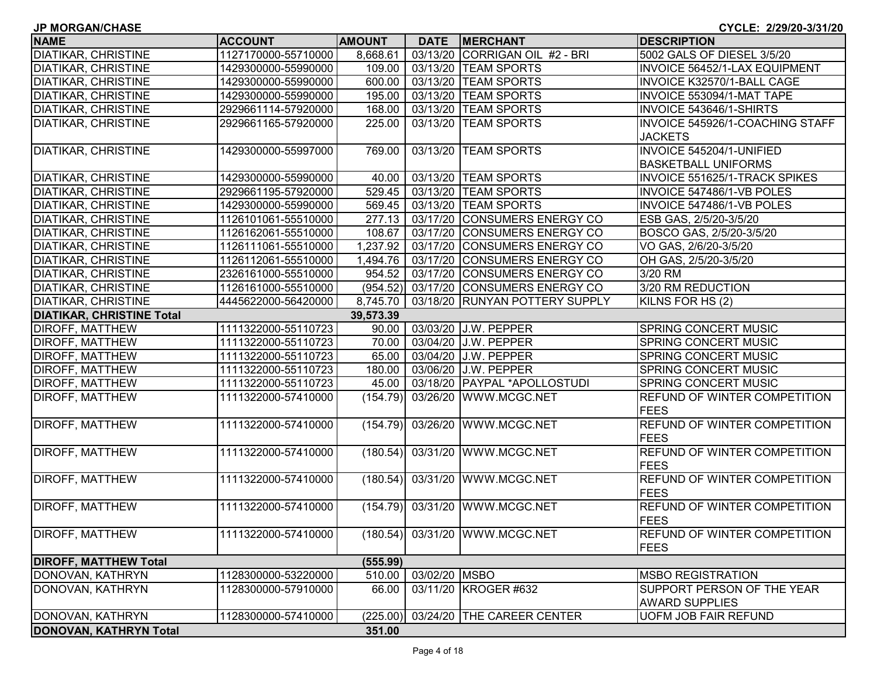| <b>JP MORGAN/CHASE</b>           |                     |               |               |                                | CYCLE: 2/29/20-3/31/20              |
|----------------------------------|---------------------|---------------|---------------|--------------------------------|-------------------------------------|
| <b>NAME</b>                      | <b>ACCOUNT</b>      | <b>AMOUNT</b> | <b>DATE</b>   | <b>MERCHANT</b>                | <b>DESCRIPTION</b>                  |
| <b>DIATIKAR, CHRISTINE</b>       | 1127170000-55710000 | 8,668.61      |               | 03/13/20 CORRIGAN OIL #2 - BRI | 5002 GALS OF DIESEL 3/5/20          |
| <b>DIATIKAR, CHRISTINE</b>       | 1429300000-55990000 | 109.00        |               | 03/13/20 TEAM SPORTS           | INVOICE 56452/1-LAX EQUIPMENT       |
| <b>DIATIKAR, CHRISTINE</b>       | 1429300000-55990000 | 600.00        |               | 03/13/20 TEAM SPORTS           | INVOICE K32570/1-BALL CAGE          |
| <b>DIATIKAR, CHRISTINE</b>       | 1429300000-55990000 | 195.00        |               | 03/13/20 TEAM SPORTS           | INVOICE 553094/1-MAT TAPE           |
| <b>DIATIKAR, CHRISTINE</b>       | 2929661114-57920000 | 168.00        |               | 03/13/20 TEAM SPORTS           | INVOICE 543646/1-SHIRTS             |
| <b>DIATIKAR, CHRISTINE</b>       | 2929661165-57920000 | 225.00        |               | 03/13/20 TEAM SPORTS           | INVOICE 545926/1-COACHING STAFF     |
|                                  |                     |               |               |                                | <b>JACKETS</b>                      |
| <b>DIATIKAR, CHRISTINE</b>       | 1429300000-55997000 | 769.00        |               | 03/13/20 TEAM SPORTS           | INVOICE 545204/1-UNIFIED            |
|                                  |                     |               |               |                                | <b>BASKETBALL UNIFORMS</b>          |
| <b>DIATIKAR, CHRISTINE</b>       | 1429300000-55990000 | 40.00         |               | 03/13/20 TEAM SPORTS           | INVOICE 551625/1-TRACK SPIKES       |
| <b>DIATIKAR, CHRISTINE</b>       | 2929661195-57920000 | 529.45        |               | 03/13/20 TEAM SPORTS           | INVOICE 547486/1-VB POLES           |
| <b>DIATIKAR, CHRISTINE</b>       | 1429300000-55990000 | 569.45        |               | 03/13/20 TEAM SPORTS           | INVOICE 547486/1-VB POLES           |
| <b>DIATIKAR, CHRISTINE</b>       | 1126101061-55510000 | 277.13        |               | 03/17/20 CONSUMERS ENERGY CO   | ESB GAS, 2/5/20-3/5/20              |
| <b>DIATIKAR, CHRISTINE</b>       | 1126162061-55510000 | 108.67        |               | 03/17/20 CONSUMERS ENERGY CO   | BOSCO GAS, 2/5/20-3/5/20            |
| <b>DIATIKAR, CHRISTINE</b>       | 1126111061-55510000 | 1,237.92      |               | 03/17/20 CONSUMERS ENERGY CO   | VO GAS, 2/6/20-3/5/20               |
| <b>DIATIKAR, CHRISTINE</b>       | 1126112061-55510000 | 1,494.76      |               | 03/17/20 CONSUMERS ENERGY CO   | OH GAS, 2/5/20-3/5/20               |
| <b>DIATIKAR, CHRISTINE</b>       | 2326161000-55510000 | 954.52        |               | 03/17/20 CONSUMERS ENERGY CO   | 3/20 RM                             |
| <b>DIATIKAR, CHRISTINE</b>       | 1126161000-55510000 | (954.52)      |               | 03/17/20 CONSUMERS ENERGY CO   | 3/20 RM REDUCTION                   |
| <b>DIATIKAR, CHRISTINE</b>       | 4445622000-56420000 | 8,745.70      |               | 03/18/20 RUNYAN POTTERY SUPPLY | KILNS FOR HS (2)                    |
| <b>DIATIKAR, CHRISTINE Total</b> |                     | 39,573.39     |               |                                |                                     |
| DIROFF, MATTHEW                  | 1111322000-55110723 | 90.00         |               | 03/03/20 J.W. PEPPER           | <b>SPRING CONCERT MUSIC</b>         |
| DIROFF, MATTHEW                  | 1111322000-55110723 | 70.00         |               | 03/04/20 J.W. PEPPER           | SPRING CONCERT MUSIC                |
| DIROFF, MATTHEW                  | 1111322000-55110723 | 65.00         |               | 03/04/20 J.W. PEPPER           | SPRING CONCERT MUSIC                |
| <b>DIROFF, MATTHEW</b>           | 1111322000-55110723 | 180.00        |               | 03/06/20 J.W. PEPPER           | SPRING CONCERT MUSIC                |
| <b>DIROFF, MATTHEW</b>           | 1111322000-55110723 | 45.00         |               | 03/18/20 PAYPAL *APOLLOSTUDI   | SPRING CONCERT MUSIC                |
| <b>DIROFF, MATTHEW</b>           | 1111322000-57410000 | (154.79)      |               | 03/26/20 WWW.MCGC.NET          | REFUND OF WINTER COMPETITION        |
|                                  |                     |               |               |                                | <b>FEES</b>                         |
| DIROFF, MATTHEW                  | 1111322000-57410000 | (154.79)      |               | 03/26/20 WWW.MCGC.NET          | REFUND OF WINTER COMPETITION        |
|                                  |                     |               |               |                                | <b>FEES</b>                         |
| DIROFF, MATTHEW                  | 1111322000-57410000 |               |               | (180.54) 03/31/20 WWW.MCGC.NET | REFUND OF WINTER COMPETITION        |
|                                  |                     |               |               |                                | <b>FEES</b>                         |
| DIROFF, MATTHEW                  | 1111322000-57410000 | (180.54)      |               | 03/31/20 WWW.MCGC.NET          | REFUND OF WINTER COMPETITION        |
|                                  |                     |               |               |                                | <b>FEES</b>                         |
| <b>DIROFF, MATTHEW</b>           | 1111322000-57410000 |               |               | (154.79) 03/31/20 WWW.MCGC.NET | <b>REFUND OF WINTER COMPETITION</b> |
|                                  |                     |               |               |                                | <b>FEES</b>                         |
| DIROFF, MATTHEW                  | 1111322000-57410000 | (180.54)      |               | 03/31/20 WWW.MCGC.NET          | <b>REFUND OF WINTER COMPETITION</b> |
|                                  |                     |               |               |                                | <b>FEES</b>                         |
| <b>DIROFF, MATTHEW Total</b>     |                     | (555.99)      |               |                                |                                     |
| DONOVAN, KATHRYN                 | 1128300000-53220000 | 510.00        | 03/02/20 MSBO |                                | <b>MSBO REGISTRATION</b>            |
| DONOVAN, KATHRYN                 | 1128300000-57910000 | 66.00         |               | 03/11/20 KROGER #632           | SUPPORT PERSON OF THE YEAR          |
|                                  |                     |               |               |                                | <b>AWARD SUPPLIES</b>               |
| DONOVAN, KATHRYN                 | 1128300000-57410000 | (225.00)      |               | 03/24/20 THE CAREER CENTER     | <b>UOFM JOB FAIR REFUND</b>         |
| <b>DONOVAN, KATHRYN Total</b>    |                     | 351.00        |               |                                |                                     |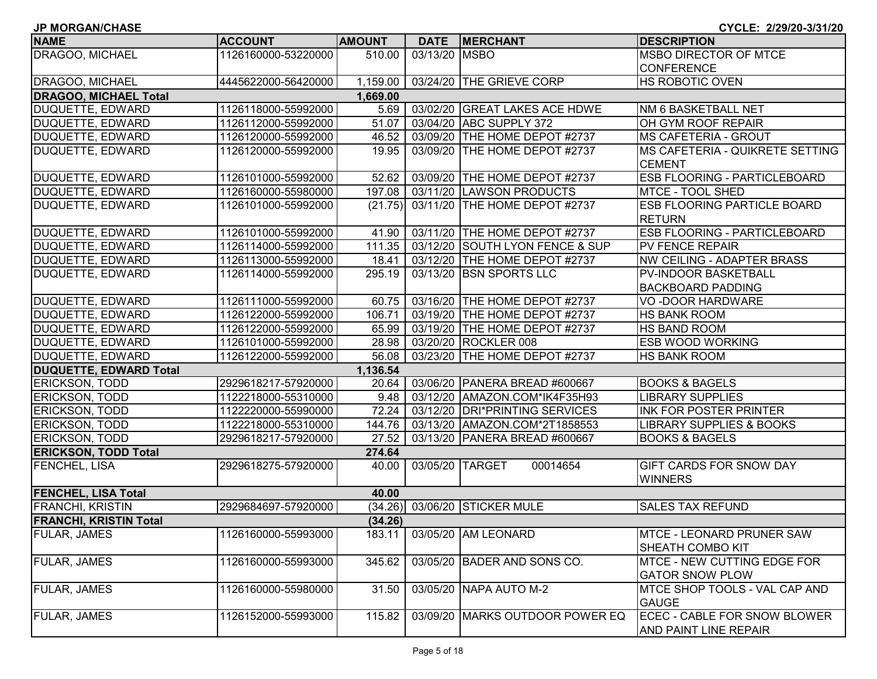| <b>JP MORGAN/CHASE</b>        |                     |               |               |                                 | CYCLE: 2/29/20-3/31/20                                |
|-------------------------------|---------------------|---------------|---------------|---------------------------------|-------------------------------------------------------|
| <b>NAME</b>                   | <b>ACCOUNT</b>      | <b>AMOUNT</b> | <b>DATE</b>   | <b>MERCHANT</b>                 | <b>DESCRIPTION</b>                                    |
| DRAGOO, MICHAEL               | 1126160000-53220000 | 510.00        | 03/13/20 MSBO |                                 | <b>MSBO DIRECTOR OF MTCE</b>                          |
|                               |                     |               |               |                                 | <b>CONFERENCE</b>                                     |
| DRAGOO, MICHAEL               | 4445622000-56420000 | 1,159.00      |               | 03/24/20 THE GRIEVE CORP        | HS ROBOTIC OVEN                                       |
| <b>DRAGOO, MICHAEL Total</b>  |                     | 1,669.00      |               |                                 |                                                       |
| DUQUETTE, EDWARD              | 1126118000-55992000 | 5.69          |               | 03/02/20 GREAT LAKES ACE HDWE   | NM 6 BASKETBALL NET                                   |
| DUQUETTE, EDWARD              | 1126112000-55992000 | 51.07         |               | 03/04/20 ABC SUPPLY 372         | OH GYM ROOF REPAIR                                    |
| DUQUETTE, EDWARD              | 1126120000-55992000 | 46.52         |               | 03/09/20 THE HOME DEPOT #2737   | <b>MS CAFETERIA - GROUT</b>                           |
| DUQUETTE, EDWARD              | 1126120000-55992000 | 19.95         |               | 03/09/20 THE HOME DEPOT #2737   | MS CAFETERIA - QUIKRETE SETTING<br><b>CEMENT</b>      |
| DUQUETTE, EDWARD              | 1126101000-55992000 | 52.62         |               | 03/09/20 THE HOME DEPOT #2737   | ESB FLOORING - PARTICLEBOARD                          |
| DUQUETTE, EDWARD              | 1126160000-55980000 | 197.08        |               | 03/11/20 LAWSON PRODUCTS        | MTCE - TOOL SHED                                      |
| DUQUETTE, EDWARD              | 1126101000-55992000 | (21.75)       |               | 03/11/20 THE HOME DEPOT #2737   | <b>ESB FLOORING PARTICLE BOARD</b><br><b>RETURN</b>   |
| <b>DUQUETTE, EDWARD</b>       | 1126101000-55992000 | 41.90         |               | 03/11/20 THE HOME DEPOT #2737   | ESB FLOORING - PARTICLEBOARD                          |
| DUQUETTE, EDWARD              | 1126114000-55992000 | 111.35        |               | 03/12/20 SOUTH LYON FENCE & SUP | PV FENCE REPAIR                                       |
| DUQUETTE, EDWARD              | 1126113000-55992000 | 18.41         |               | 03/12/20 THE HOME DEPOT #2737   | <b>NW CEILING - ADAPTER BRASS</b>                     |
| <b>DUQUETTE, EDWARD</b>       | 1126114000-55992000 | 295.19        |               | 03/13/20 BSN SPORTS LLC         | PV-INDOOR BASKETBALL                                  |
|                               |                     |               |               |                                 | <b>BACKBOARD PADDING</b>                              |
| DUQUETTE, EDWARD              | 1126111000-55992000 | 60.75         |               | 03/16/20 THE HOME DEPOT #2737   | VO-DOOR HARDWARE                                      |
| DUQUETTE, EDWARD              | 1126122000-55992000 | 106.71        |               | 03/19/20 THE HOME DEPOT #2737   | <b>HS BANK ROOM</b>                                   |
| DUQUETTE, EDWARD              | 1126122000-55992000 | 65.99         |               | 03/19/20 THE HOME DEPOT #2737   | HS BAND ROOM                                          |
| DUQUETTE, EDWARD              | 1126101000-55992000 | 28.98         |               | 03/20/20 ROCKLER 008            | <b>ESB WOOD WORKING</b>                               |
| DUQUETTE, EDWARD              | 1126122000-55992000 | 56.08         |               | 03/23/20 THE HOME DEPOT #2737   | <b>HS BANK ROOM</b>                                   |
| <b>DUQUETTE, EDWARD Total</b> |                     | 1,136.54      |               |                                 |                                                       |
| <b>ERICKSON, TODD</b>         | 2929618217-57920000 | 20.64         |               | 03/06/20 PANERA BREAD #600667   | <b>BOOKS &amp; BAGELS</b>                             |
| ERICKSON, TODD                | 1122218000-55310000 | 9.48          |               | 03/12/20 AMAZON.COM*IK4F35H93   | <b>LIBRARY SUPPLIES</b>                               |
| ERICKSON, TODD                | 1122220000-55990000 | 72.24         |               | 03/12/20 DRI*PRINTING SERVICES  | <b>INK FOR POSTER PRINTER</b>                         |
| ERICKSON, TODD                | 1122218000-55310000 | 144.76        |               | 03/13/20 AMAZON.COM*2T1858553   | <b>LIBRARY SUPPLIES &amp; BOOKS</b>                   |
| <b>ERICKSON, TODD</b>         | 2929618217-57920000 | 27.52         |               | 03/13/20 PANERA BREAD #600667   | <b>BOOKS &amp; BAGELS</b>                             |
| <b>ERICKSON, TODD Total</b>   |                     | 274.64        |               |                                 |                                                       |
| <b>FENCHEL, LISA</b>          | 2929618275-57920000 | 40.00         |               | 03/05/20 TARGET<br>00014654     | GIFT CARDS FOR SNOW DAY<br><b>WINNERS</b>             |
| <b>FENCHEL, LISA Total</b>    |                     | 40.00         |               |                                 |                                                       |
| <b>FRANCHI, KRISTIN</b>       | 2929684697-57920000 |               |               | (34.26) 03/06/20 STICKER MULE   | <b>SALES TAX REFUND</b>                               |
| <b>FRANCHI, KRISTIN Total</b> |                     | (34.26)       |               |                                 |                                                       |
| <b>FULAR, JAMES</b>           | 1126160000-55993000 | 183.11        |               | 03/05/20 AM LEONARD             | <b>MTCE - LEONARD PRUNER SAW</b><br>SHEATH COMBO KIT  |
| <b>FULAR, JAMES</b>           | 1126160000-55993000 | 345.62        |               | 03/05/20 BADER AND SONS CO.     | MTCE - NEW CUTTING EDGE FOR<br><b>GATOR SNOW PLOW</b> |
| <b>FULAR, JAMES</b>           | 1126160000-55980000 | 31.50         |               | 03/05/20 NAPA AUTO M-2          | MTCE SHOP TOOLS - VAL CAP AND<br><b>GAUGE</b>         |
| <b>FULAR, JAMES</b>           | 1126152000-55993000 | 115.82        |               | 03/09/20 MARKS OUTDOOR POWER EQ | ECEC - CABLE FOR SNOW BLOWER<br>AND PAINT LINE REPAIR |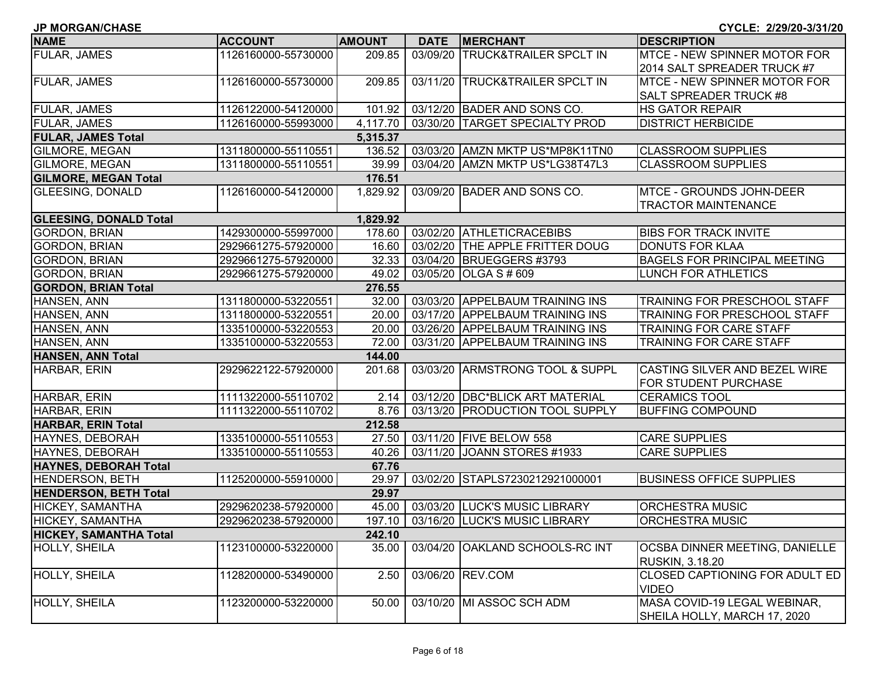| <b>JP MORGAN/CHASE</b>        |                     |               |             |                                      | CYCLE: 2/29/20-3/31/20                |
|-------------------------------|---------------------|---------------|-------------|--------------------------------------|---------------------------------------|
| <b>NAME</b>                   | <b>ACCOUNT</b>      | <b>AMOUNT</b> | <b>DATE</b> | <b>MERCHANT</b>                      | <b>DESCRIPTION</b>                    |
| <b>FULAR, JAMES</b>           | 1126160000-55730000 | 209.85        | 03/09/20    | <b>TRUCK&amp;TRAILER SPCLT IN</b>    | <b>MTCE - NEW SPINNER MOTOR FOR</b>   |
|                               |                     |               |             |                                      | 2014 SALT SPREADER TRUCK #7           |
| <b>FULAR, JAMES</b>           | 1126160000-55730000 | 209.85        |             | 03/11/20 TRUCK&TRAILER SPCLT IN      | MTCE - NEW SPINNER MOTOR FOR          |
|                               |                     |               |             |                                      | <b>SALT SPREADER TRUCK #8</b>         |
| <b>FULAR, JAMES</b>           | 1126122000-54120000 | 101.92        |             | 03/12/20 BADER AND SONS CO.          | <b>HS GATOR REPAIR</b>                |
| <b>FULAR, JAMES</b>           | 1126160000-55993000 | 4,117.70      |             | 03/30/20 TARGET SPECIALTY PROD       | <b>DISTRICT HERBICIDE</b>             |
| <b>FULAR, JAMES Total</b>     |                     | 5,315.37      |             |                                      |                                       |
| <b>GILMORE, MEGAN</b>         | 1311800000-55110551 | 136.52        |             | 03/03/20 AMZN MKTP US*MP8K11TN0      | <b>CLASSROOM SUPPLIES</b>             |
| <b>GILMORE, MEGAN</b>         | 1311800000-55110551 | 39.99         |             | 03/04/20 AMZN MKTP US*LG38T47L3      | <b>CLASSROOM SUPPLIES</b>             |
| <b>GILMORE, MEGAN Total</b>   |                     | 176.51        |             |                                      |                                       |
| <b>GLEESING, DONALD</b>       | 1126160000-54120000 | 1,829.92      |             | 03/09/20 BADER AND SONS CO.          | MTCE - GROUNDS JOHN-DEER              |
|                               |                     |               |             |                                      | <b>TRACTOR MAINTENANCE</b>            |
| <b>GLEESING, DONALD Total</b> |                     | 1,829.92      |             |                                      |                                       |
| <b>GORDON, BRIAN</b>          | 1429300000-55997000 | 178.60        |             | 03/02/20 ATHLETICRACEBIBS            | <b>BIBS FOR TRACK INVITE</b>          |
| <b>GORDON, BRIAN</b>          | 2929661275-57920000 | 16.60         |             | 03/02/20 THE APPLE FRITTER DOUG      | <b>DONUTS FOR KLAA</b>                |
| <b>GORDON, BRIAN</b>          | 2929661275-57920000 | 32.33         |             | 03/04/20 BRUEGGERS #3793             | <b>BAGELS FOR PRINCIPAL MEETING</b>   |
| <b>GORDON, BRIAN</b>          | 2929661275-57920000 | 49.02         |             | 03/05/20 OLGA S # 609                | LUNCH FOR ATHLETICS                   |
| <b>GORDON, BRIAN Total</b>    |                     | 276.55        |             |                                      |                                       |
| HANSEN, ANN                   | 1311800000-53220551 | 32.00         |             | 03/03/20 APPELBAUM TRAINING INS      | <b>TRAINING FOR PRESCHOOL STAFF</b>   |
| HANSEN, ANN                   | 1311800000-53220551 | 20.00         |             | 03/17/20 APPELBAUM TRAINING INS      | <b>TRAINING FOR PRESCHOOL STAFF</b>   |
| HANSEN, ANN                   | 1335100000-53220553 | 20.00         |             | 03/26/20 APPELBAUM TRAINING INS      | <b>TRAINING FOR CARE STAFF</b>        |
| HANSEN, ANN                   | 1335100000-53220553 | 72.00         |             | 03/31/20 APPELBAUM TRAINING INS      | <b>TRAINING FOR CARE STAFF</b>        |
| <b>HANSEN, ANN Total</b>      |                     | 144.00        |             |                                      |                                       |
| HARBAR, ERIN                  | 2929622122-57920000 | 201.68        |             | 03/03/20 ARMSTRONG TOOL & SUPPL      | CASTING SILVER AND BEZEL WIRE         |
|                               |                     |               |             |                                      | FOR STUDENT PURCHASE                  |
| HARBAR, ERIN                  | 1111322000-55110702 | 2.14          |             | 03/12/20 DBC*BLICK ART MATERIAL      | <b>CERAMICS TOOL</b>                  |
| HARBAR, ERIN                  | 1111322000-55110702 | 8.76          |             | 03/13/20 PRODUCTION TOOL SUPPLY      | <b>BUFFING COMPOUND</b>               |
| <b>HARBAR, ERIN Total</b>     |                     | 212.58        |             |                                      |                                       |
| HAYNES, DEBORAH               | 1335100000-55110553 | 27.50         |             | 03/11/20 FIVE BELOW 558              | <b>CARE SUPPLIES</b>                  |
| HAYNES, DEBORAH               | 1335100000-55110553 | 40.26         |             | 03/11/20 JOANN STORES #1933          | <b>CARE SUPPLIES</b>                  |
| <b>HAYNES, DEBORAH Total</b>  |                     | 67.76         |             |                                      |                                       |
| <b>HENDERSON, BETH</b>        | 1125200000-55910000 | 29.97         |             | 03/02/20 STAPLS7230212921000001      | <b>BUSINESS OFFICE SUPPLIES</b>       |
| <b>HENDERSON, BETH Total</b>  |                     | 29.97         |             |                                      |                                       |
| HICKEY, SAMANTHA              | 2929620238-57920000 | 45.00         |             | 03/03/20 LUCK'S MUSIC LIBRARY        | <b>ORCHESTRA MUSIC</b>                |
| <b>HICKEY, SAMANTHA</b>       | 2929620238-57920000 |               |             | 197.10 03/16/20 LUCK'S MUSIC LIBRARY | <b>ORCHESTRA MUSIC</b>                |
| <b>HICKEY, SAMANTHA Total</b> |                     | 242.10        |             |                                      |                                       |
| <b>HOLLY, SHEILA</b>          | 1123100000-53220000 | 35.00         | 03/04/20    | <b>OAKLAND SCHOOLS-RC INT</b>        | OCSBA DINNER MEETING, DANIELLE        |
|                               |                     |               |             |                                      | <b>RUSKIN, 3.18.20</b>                |
| HOLLY, SHEILA                 | 1128200000-53490000 | 2.50          |             | 03/06/20 REV.COM                     | <b>CLOSED CAPTIONING FOR ADULT ED</b> |
|                               |                     |               |             |                                      | <b>VIDEO</b>                          |
| <b>HOLLY, SHEILA</b>          | 1123200000-53220000 | 50.00         |             | 03/10/20 MI ASSOC SCH ADM            | MASA COVID-19 LEGAL WEBINAR,          |
|                               |                     |               |             |                                      | SHEILA HOLLY, MARCH 17, 2020          |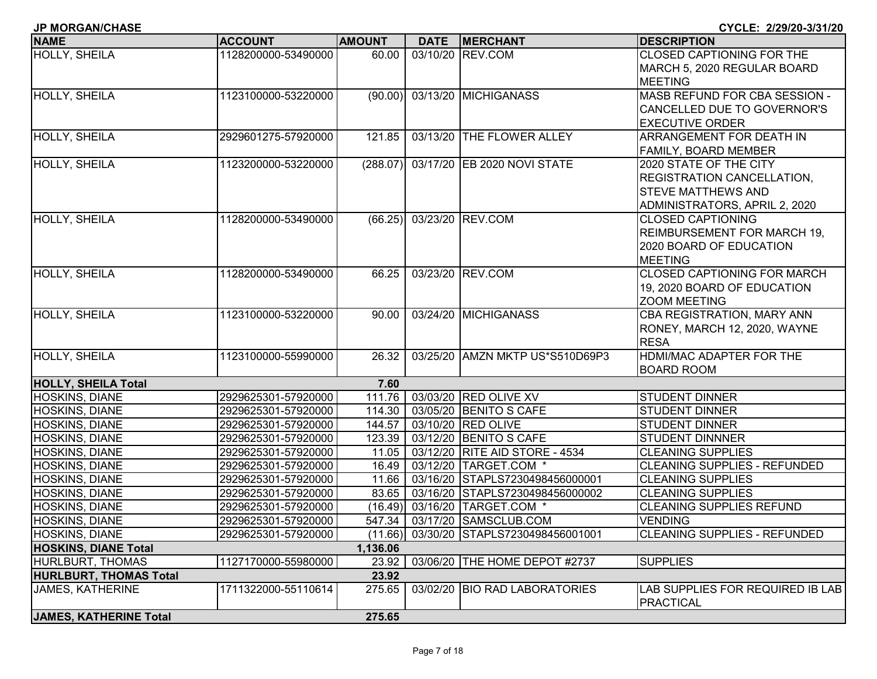| <b>NAME</b>                   | <b>ACCOUNT</b>      | <b>AMOUNT</b> | DATE   MERCHANT                         | <b>IDESCRIPTION</b>                |
|-------------------------------|---------------------|---------------|-----------------------------------------|------------------------------------|
| HOLLY, SHEILA                 | 1128200000-53490000 | 60.00         | 03/10/20 REV.COM                        | CLOSED CAPTIONING FOR THE          |
|                               |                     |               |                                         | MARCH 5, 2020 REGULAR BOARD        |
|                               |                     |               |                                         | <b>MEETING</b>                     |
| <b>HOLLY, SHEILA</b>          | 1123100000-53220000 | (90.00)       | 03/13/20 MICHIGANASS                    | MASB REFUND FOR CBA SESSION -      |
|                               |                     |               |                                         | CANCELLED DUE TO GOVERNOR'S        |
|                               |                     |               |                                         | <b>EXECUTIVE ORDER</b>             |
| HOLLY, SHEILA                 | 2929601275-57920000 | 121.85        | 03/13/20 THE FLOWER ALLEY               | ARRANGEMENT FOR DEATH IN           |
|                               |                     |               |                                         | <b>FAMILY, BOARD MEMBER</b>        |
| HOLLY, SHEILA                 | 1123200000-53220000 | (288.07)      | 03/17/20 EB 2020 NOVI STATE             | 2020 STATE OF THE CITY             |
|                               |                     |               |                                         | <b>REGISTRATION CANCELLATION,</b>  |
|                               |                     |               |                                         | <b>STEVE MATTHEWS AND</b>          |
|                               |                     |               |                                         | ADMINISTRATORS, APRIL 2, 2020      |
| <b>HOLLY, SHEILA</b>          | 1128200000-53490000 | (66.25)       | 03/23/20 REV.COM                        | <b>CLOSED CAPTIONING</b>           |
|                               |                     |               |                                         | REIMBURSEMENT FOR MARCH 19,        |
|                               |                     |               |                                         | 2020 BOARD OF EDUCATION            |
|                               |                     |               |                                         | <b>MEETING</b>                     |
| <b>HOLLY, SHEILA</b>          | 1128200000-53490000 | 66.25         | 03/23/20 REV.COM                        | <b>CLOSED CAPTIONING FOR MARCH</b> |
|                               |                     |               |                                         | 19, 2020 BOARD OF EDUCATION        |
|                               |                     |               |                                         | <b>ZOOM MEETING</b>                |
| <b>HOLLY, SHEILA</b>          | 1123100000-53220000 | 90.00         | 03/24/20 MICHIGANASS                    | CBA REGISTRATION, MARY ANN         |
|                               |                     |               |                                         | RONEY, MARCH 12, 2020, WAYNE       |
|                               |                     |               |                                         | <b>RESA</b>                        |
| HOLLY, SHEILA                 | 1123100000-55990000 | 26.32         | 03/25/20 AMZN MKTP US*S510D69P3         | HDMI/MAC ADAPTER FOR THE           |
|                               |                     |               |                                         | <b>BOARD ROOM</b>                  |
| <b>HOLLY, SHEILA Total</b>    |                     | 7.60          |                                         |                                    |
| <b>HOSKINS, DIANE</b>         | 2929625301-57920000 | 111.76        | 03/03/20 RED OLIVE XV                   | <b>STUDENT DINNER</b>              |
| <b>HOSKINS, DIANE</b>         | 2929625301-57920000 | 114.30        | 03/05/20 BENITO S CAFE                  | <b>STUDENT DINNER</b>              |
| HOSKINS, DIANE                | 2929625301-57920000 | 144.57        | 03/10/20 RED OLIVE                      | <b>STUDENT DINNER</b>              |
| <b>HOSKINS, DIANE</b>         | 2929625301-57920000 | 123.39        | 03/12/20 BENITO S CAFE                  | <b>STUDENT DINNNER</b>             |
| HOSKINS, DIANE                | 2929625301-57920000 | 11.05         | 03/12/20 RITE AID STORE - 4534          | <b>CLEANING SUPPLIES</b>           |
| <b>HOSKINS, DIANE</b>         | 2929625301-57920000 | 16.49         | 03/12/20 TARGET.COM *                   | CLEANING SUPPLIES - REFUNDED       |
| <b>HOSKINS, DIANE</b>         | 2929625301-57920000 | 11.66         | 03/16/20 STAPLS7230498456000001         | <b>CLEANING SUPPLIES</b>           |
| <b>HOSKINS, DIANE</b>         | 2929625301-57920000 | 83.65         | 03/16/20 STAPLS7230498456000002         | <b>CLEANING SUPPLIES</b>           |
| HOSKINS, DIANE                | 2929625301-57920000 |               | (16.49) 03/16/20 TARGET.COM *           | <b>CLEANING SUPPLIES REFUND</b>    |
| HOSKINS, DIANE                | 2929625301-57920000 | 547.34        | 03/17/20 SAMSCLUB.COM                   | <b>VENDING</b>                     |
| <b>HOSKINS, DIANE</b>         | 2929625301-57920000 |               | (11.66) 03/30/20 STAPLS7230498456001001 | CLEANING SUPPLIES - REFUNDED       |
| <b>HOSKINS, DIANE Total</b>   |                     | 1,136.06      |                                         |                                    |
| HURLBURT, THOMAS              | 1127170000-55980000 | 23.92         | 03/06/20 THE HOME DEPOT #2737           | <b>SUPPLIES</b>                    |
| <b>HURLBURT, THOMAS Total</b> |                     | 23.92         |                                         |                                    |
| <b>JAMES, KATHERINE</b>       | 1711322000-55110614 | 275.65        | 03/02/20 BIO RAD LABORATORIES           | LAB SUPPLIES FOR REQUIRED IB LAB   |
|                               |                     |               |                                         | PRACTICAL                          |
| JAMES, KATHERINE Total        |                     | 275.65        |                                         |                                    |

**JP MORGAN/CHASE CYCLE: 2/29/20-3/31/20**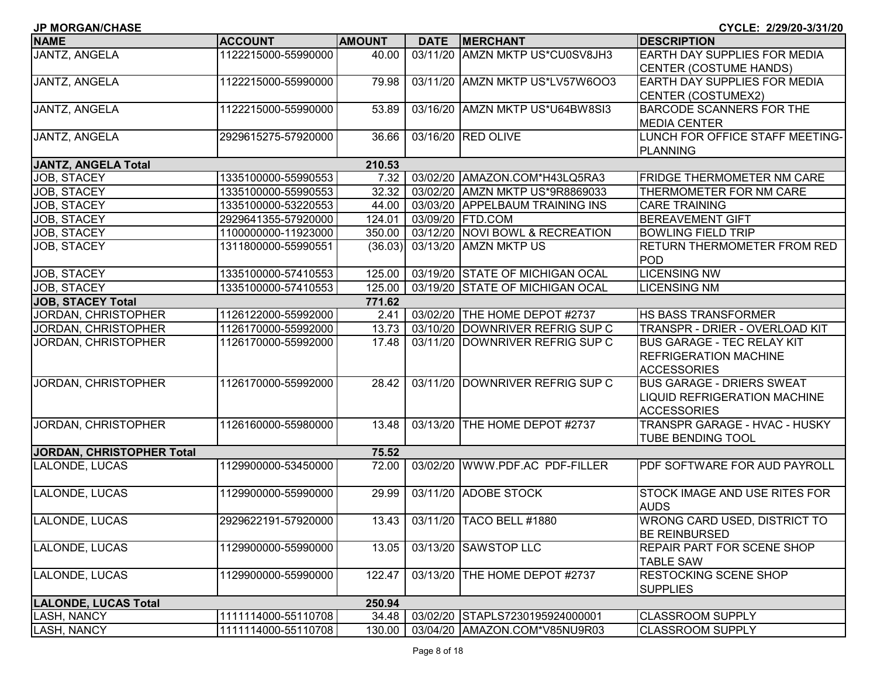| <b>JP MORGAN/CHASE</b>      |                     |               |             |                                 | CYCLE: 2/29/20-3/31/20              |
|-----------------------------|---------------------|---------------|-------------|---------------------------------|-------------------------------------|
| <b>NAME</b>                 | <b>ACCOUNT</b>      | <b>AMOUNT</b> | <b>DATE</b> | <b>MERCHANT</b>                 | <b>DESCRIPTION</b>                  |
| JANTZ, ANGELA               | 1122215000-55990000 | 40.00         |             | 03/11/20 AMZN MKTP US*CU0SV8JH3 | EARTH DAY SUPPLIES FOR MEDIA        |
|                             |                     |               |             |                                 | CENTER (COSTUME HANDS)              |
| <b>JANTZ, ANGELA</b>        | 1122215000-55990000 | 79.98         |             | 03/11/20 AMZN MKTP US*LV57W6OO3 | <b>EARTH DAY SUPPLIES FOR MEDIA</b> |
|                             |                     |               |             |                                 | CENTER (COSTUMEX2)                  |
| JANTZ, ANGELA               | 1122215000-55990000 | 53.89         |             | 03/16/20 AMZN MKTP US*U64BW8SI3 | <b>BARCODE SCANNERS FOR THE</b>     |
|                             |                     |               |             |                                 | <b>MEDIA CENTER</b>                 |
| JANTZ, ANGELA               | 2929615275-57920000 | 36.66         |             | 03/16/20 RED OLIVE              | LUNCH FOR OFFICE STAFF MEETING-     |
|                             |                     |               |             |                                 | PLANNING                            |
| <b>JANTZ, ANGELA Total</b>  |                     | 210.53        |             |                                 |                                     |
| JOB, STACEY                 | 1335100000-55990553 | 7.32          |             | 03/02/20 AMAZON.COM*H43LQ5RA3   | <b>FRIDGE THERMOMETER NM CARE</b>   |
| JOB, STACEY                 | 1335100000-55990553 | 32.32         |             | 03/02/20 AMZN MKTP US*9R8869033 | THERMOMETER FOR NM CARE             |
| JOB, STACEY                 | 1335100000-53220553 | 44.00         |             | 03/03/20 APPELBAUM TRAINING INS | <b>CARE TRAINING</b>                |
| JOB, STACEY                 | 2929641355-57920000 | 124.01        |             | 03/09/20 FTD.COM                | <b>BEREAVEMENT GIFT</b>             |
| JOB, STACEY                 | 1100000000-11923000 | 350.00        |             | 03/12/20 NOVI BOWL & RECREATION | <b>BOWLING FIELD TRIP</b>           |
| JOB, STACEY                 | 1311800000-55990551 |               |             | (36.03) 03/13/20 AMZN MKTP US   | RETURN THERMOMETER FROM RED         |
|                             |                     |               |             |                                 | POD                                 |
| JOB, STACEY                 | 1335100000-57410553 | 125.00        |             | 03/19/20 STATE OF MICHIGAN OCAL | <b>LICENSING NW</b>                 |
| <b>JOB, STACEY</b>          | 1335100000-57410553 | 125.00        |             | 03/19/20 STATE OF MICHIGAN OCAL | <b>LICENSING NM</b>                 |
| <b>JOB, STACEY Total</b>    |                     | 771.62        |             |                                 |                                     |
| JORDAN, CHRISTOPHER         | 1126122000-55992000 | 2.41          |             | 03/02/20 THE HOME DEPOT #2737   | HS BASS TRANSFORMER                 |
| JORDAN, CHRISTOPHER         | 1126170000-55992000 | 13.73         |             | 03/10/20 DOWNRIVER REFRIG SUP C | TRANSPR - DRIER - OVERLOAD KIT      |
| JORDAN, CHRISTOPHER         | 1126170000-55992000 | 17.48         |             | 03/11/20 DOWNRIVER REFRIG SUP C | <b>BUS GARAGE - TEC RELAY KIT</b>   |
|                             |                     |               |             |                                 | <b>REFRIGERATION MACHINE</b>        |
|                             |                     |               |             |                                 | <b>ACCESSORIES</b>                  |
| JORDAN, CHRISTOPHER         | 1126170000-55992000 | 28.42         |             | 03/11/20 DOWNRIVER REFRIG SUP C | <b>BUS GARAGE - DRIERS SWEAT</b>    |
|                             |                     |               |             |                                 | <b>LIQUID REFRIGERATION MACHINE</b> |
|                             |                     |               |             |                                 | <b>ACCESSORIES</b>                  |
| JORDAN, CHRISTOPHER         | 1126160000-55980000 | 13.48         | 03/13/20    | THE HOME DEPOT #2737            | TRANSPR GARAGE - HVAC - HUSKY       |
|                             |                     |               |             |                                 | TUBE BENDING TOOL                   |
| JORDAN, CHRISTOPHER Total   |                     | 75.52         |             |                                 |                                     |
| LALONDE, LUCAS              | 1129900000-53450000 | 72.00         |             | 03/02/20 WWW.PDF.AC PDF-FILLER  | PDF SOFTWARE FOR AUD PAYROLL        |
|                             |                     |               |             |                                 |                                     |
| LALONDE, LUCAS              | 1129900000-55990000 | 29.99         |             | 03/11/20 ADOBE STOCK            | STOCK IMAGE AND USE RITES FOR       |
|                             |                     |               |             |                                 | <b>AUDS</b>                         |
| LALONDE, LUCAS              | 2929622191-57920000 |               |             | 13.43 03/11/20 TACO BELL #1880  | WRONG CARD USED, DISTRICT TO        |
|                             |                     |               |             |                                 | <b>BE REINBURSED</b>                |
| LALONDE, LUCAS              | 1129900000-55990000 | 13.05         |             | 03/13/20 SAWSTOP LLC            | <b>REPAIR PART FOR SCENE SHOP</b>   |
|                             |                     |               |             |                                 | <b>TABLE SAW</b>                    |
| LALONDE, LUCAS              | 1129900000-55990000 | 122.47        |             | 03/13/20 THE HOME DEPOT #2737   | <b>RESTOCKING SCENE SHOP</b>        |
|                             |                     |               |             |                                 | <b>SUPPLIES</b>                     |
| <b>LALONDE, LUCAS Total</b> |                     | 250.94        |             |                                 |                                     |
| <b>LASH, NANCY</b>          | 1111114000-55110708 | 34.48         |             | 03/02/20 STAPLS7230195924000001 | <b>CLASSROOM SUPPLY</b>             |
| LASH, NANCY                 | 1111114000-55110708 | 130.00        |             | 03/04/20 AMAZON.COM*V85NU9R03   | <b>CLASSROOM SUPPLY</b>             |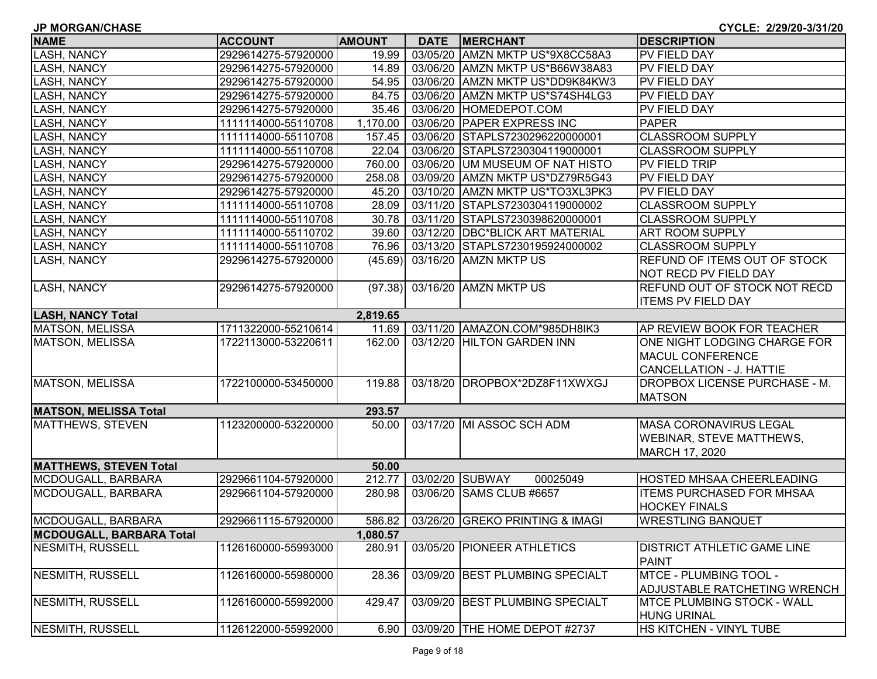| <b>JP MORGAN/CHASE</b>          |                     |               |             |                                  | CYCLE: 2/29/20-3/31/20               |
|---------------------------------|---------------------|---------------|-------------|----------------------------------|--------------------------------------|
| <b>NAME</b>                     | <b>ACCOUNT</b>      | <b>AMOUNT</b> | <b>DATE</b> | <b>MERCHANT</b>                  | <b>DESCRIPTION</b>                   |
| <b>LASH, NANCY</b>              | 2929614275-57920000 | 19.99         |             | 03/05/20 AMZN MKTP US*9X8CC58A3  | <b>PV FIELD DAY</b>                  |
| <b>LASH, NANCY</b>              | 2929614275-57920000 | 14.89         |             | 03/06/20 AMZN MKTP US*B66W38A83  | PV FIELD DAY                         |
| <b>LASH, NANCY</b>              | 2929614275-57920000 | 54.95         |             | 03/06/20 AMZN MKTP US*DD9K84KW3  | PV FIELD DAY                         |
| <b>LASH, NANCY</b>              | 2929614275-57920000 | 84.75         |             | 03/06/20 AMZN MKTP US*S74SH4LG3  | <b>PV FIELD DAY</b>                  |
| <b>LASH, NANCY</b>              | 2929614275-57920000 | 35.46         |             | 03/06/20 HOMEDEPOT.COM           | <b>PV FIELD DAY</b>                  |
| <b>LASH, NANCY</b>              | 1111114000-55110708 | 1,170.00      |             | 03/06/20 PAPER EXPRESS INC       | <b>PAPER</b>                         |
| <b>LASH, NANCY</b>              | 1111114000-55110708 | 157.45        |             | 03/06/20 STAPLS7230296220000001  | <b>CLASSROOM SUPPLY</b>              |
| <b>LASH, NANCY</b>              | 1111114000-55110708 | 22.04         |             | 03/06/20 STAPLS7230304119000001  | <b>CLASSROOM SUPPLY</b>              |
| <b>LASH, NANCY</b>              | 2929614275-57920000 | 760.00        |             | 03/06/20 UM MUSEUM OF NAT HISTO  | <b>PV FIELD TRIP</b>                 |
| <b>LASH, NANCY</b>              | 2929614275-57920000 | 258.08        |             | 03/09/20 AMZN MKTP US*DZ79R5G43  | <b>PV FIELD DAY</b>                  |
| <b>LASH, NANCY</b>              | 2929614275-57920000 | 45.20         |             | 03/10/20 AMZN MKTP US*TO3XL3PK3  | <b>PV FIELD DAY</b>                  |
| <b>LASH, NANCY</b>              | 1111114000-55110708 | 28.09         |             | 03/11/20 STAPLS7230304119000002  | <b>CLASSROOM SUPPLY</b>              |
| <b>LASH, NANCY</b>              | 1111114000-55110708 | 30.78         |             | 03/11/20 STAPLS7230398620000001  | <b>CLASSROOM SUPPLY</b>              |
| <b>LASH, NANCY</b>              | 1111114000-55110702 | 39.60         |             | 03/12/20 DBC*BLICK ART MATERIAL  | <b>ART ROOM SUPPLY</b>               |
| <b>LASH, NANCY</b>              | 1111114000-55110708 | 76.96         |             | 03/13/20 STAPLS7230195924000002  | <b>CLASSROOM SUPPLY</b>              |
| LASH, NANCY                     | 2929614275-57920000 | (45.69)       |             | 03/16/20 AMZN MKTP US            | <b>REFUND OF ITEMS OUT OF STOCK</b>  |
|                                 |                     |               |             |                                  | NOT RECD PV FIELD DAY                |
| <b>LASH, NANCY</b>              | 2929614275-57920000 | (97.38)       |             | 03/16/20 AMZN MKTP US            | REFUND OUT OF STOCK NOT RECD         |
|                                 |                     |               |             |                                  | <b>ITEMS PV FIELD DAY</b>            |
| <b>LASH, NANCY Total</b>        |                     | 2,819.65      |             |                                  |                                      |
| MATSON, MELISSA                 | 1711322000-55210614 | 11.69         |             | 03/11/20 AMAZON.COM*985DH8IK3    | <b>AP REVIEW BOOK FOR TEACHER</b>    |
| MATSON, MELISSA                 | 1722113000-53220611 | 162.00        |             | 03/12/20 HILTON GARDEN INN       | ONE NIGHT LODGING CHARGE FOR         |
|                                 |                     |               |             |                                  | <b>MACUL CONFERENCE</b>              |
|                                 |                     |               |             |                                  | CANCELLATION - J. HATTIE             |
| MATSON, MELISSA                 | 1722100000-53450000 | 119.88        |             | 03/18/20 DROPBOX*2DZ8F11XWXGJ    | <b>DROPBOX LICENSE PURCHASE - M.</b> |
|                                 |                     |               |             |                                  | <b>MATSON</b>                        |
| <b>MATSON, MELISSA Total</b>    |                     | 293.57        |             |                                  |                                      |
| MATTHEWS, STEVEN                | 1123200000-53220000 | 50.00         |             | 03/17/20 MI ASSOC SCH ADM        | <b>MASA CORONAVIRUS LEGAL</b>        |
|                                 |                     |               |             |                                  | <b>WEBINAR, STEVE MATTHEWS,</b>      |
|                                 |                     |               |             |                                  | MARCH 17, 2020                       |
| <b>MATTHEWS, STEVEN Total</b>   |                     | 50.00         |             |                                  |                                      |
| MCDOUGALL, BARBARA              | 2929661104-57920000 | 212.77        |             | 03/02/20 SUBWAY<br>00025049      | <b>HOSTED MHSAA CHEERLEADING</b>     |
| MCDOUGALL, BARBARA              | 2929661104-57920000 | 280.98        |             | 03/06/20 SAMS CLUB #6657         | <b>ITEMS PURCHASED FOR MHSAA</b>     |
|                                 |                     |               |             |                                  | <b>HOCKEY FINALS</b>                 |
| MCDOUGALL, BARBARA              | 2929661115-57920000 | 586.82        |             | 03/26/20  GREKO PRINTING & IMAGI | <b>IWRESTLING BANQUET</b>            |
| <b>MCDOUGALL, BARBARA Total</b> |                     | 1,080.57      |             |                                  |                                      |
| NESMITH, RUSSELL                | 1126160000-55993000 | 280.91        |             | 03/05/20 PIONEER ATHLETICS       | <b>DISTRICT ATHLETIC GAME LINE</b>   |
|                                 |                     |               |             |                                  | PAINT                                |
| NESMITH, RUSSELL                | 1126160000-55980000 | 28.36         |             | 03/09/20 BEST PLUMBING SPECIALT  | <b>MTCE - PLUMBING TOOL -</b>        |
|                                 |                     |               |             |                                  | ADJUSTABLE RATCHETING WRENCH         |
| NESMITH, RUSSELL                | 1126160000-55992000 | 429.47        |             | 03/09/20 BEST PLUMBING SPECIALT  | <b>IMTCE PLUMBING STOCK - WALL</b>   |
|                                 |                     |               |             |                                  | <b>HUNG URINAL</b>                   |
| NESMITH, RUSSELL                | 1126122000-55992000 | 6.90          |             | 03/09/20 THE HOME DEPOT #2737    | <b>HS KITCHEN - VINYL TUBE</b>       |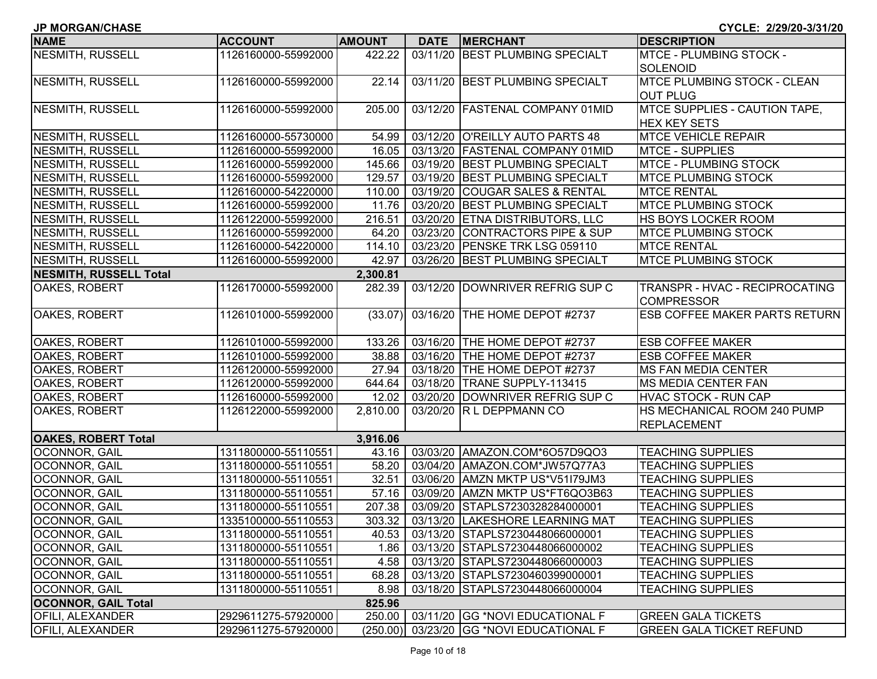| <b>JP MORGAN/CHASE</b><br>CYCLE: 2/29/20-3/31/20 |                     |               |  |                                           |                                      |  |
|--------------------------------------------------|---------------------|---------------|--|-------------------------------------------|--------------------------------------|--|
| <b>NAME</b>                                      | <b>ACCOUNT</b>      | <b>AMOUNT</b> |  | DATE MERCHANT                             | <b>DESCRIPTION</b>                   |  |
| NESMITH, RUSSELL                                 | 1126160000-55992000 | 422.22        |  | 03/11/20 BEST PLUMBING SPECIALT           | <b>MTCE - PLUMBING STOCK -</b>       |  |
|                                                  |                     |               |  |                                           | <b>SOLENOID</b>                      |  |
| <b>NESMITH, RUSSELL</b>                          | 1126160000-55992000 | 22.14         |  | 03/11/20 BEST PLUMBING SPECIALT           | <b>MTCE PLUMBING STOCK - CLEAN</b>   |  |
|                                                  |                     |               |  |                                           | <b>OUT PLUG</b>                      |  |
| NESMITH, RUSSELL                                 | 1126160000-55992000 | 205.00        |  | 03/12/20 FASTENAL COMPANY 01MID           | MTCE SUPPLIES - CAUTION TAPE,        |  |
|                                                  |                     |               |  |                                           | <b>HEX KEY SETS</b>                  |  |
| NESMITH, RUSSELL                                 | 1126160000-55730000 | 54.99         |  | 03/12/20 O'REILLY AUTO PARTS 48           | <b>MTCE VEHICLE REPAIR</b>           |  |
| NESMITH, RUSSELL                                 | 1126160000-55992000 | 16.05         |  | 03/13/20 FASTENAL COMPANY 01MID           | <b>MTCE - SUPPLIES</b>               |  |
| NESMITH, RUSSELL                                 | 1126160000-55992000 | 145.66        |  | 03/19/20 BEST PLUMBING SPECIALT           | MTCE - PLUMBING STOCK                |  |
| NESMITH, RUSSELL                                 | 1126160000-55992000 | 129.57        |  | 03/19/20 BEST PLUMBING SPECIALT           | <b>MTCE PLUMBING STOCK</b>           |  |
| NESMITH, RUSSELL                                 | 1126160000-54220000 | 110.00        |  | 03/19/20 COUGAR SALES & RENTAL            | <b>MTCE RENTAL</b>                   |  |
| NESMITH, RUSSELL                                 | 1126160000-55992000 | 11.76         |  | 03/20/20 BEST PLUMBING SPECIALT           | MTCE PLUMBING STOCK                  |  |
| NESMITH, RUSSELL                                 | 1126122000-55992000 | 216.51        |  | 03/20/20 ETNA DISTRIBUTORS, LLC           | HS BOYS LOCKER ROOM                  |  |
| NESMITH, RUSSELL                                 | 1126160000-55992000 | 64.20         |  | 03/23/20 CONTRACTORS PIPE & SUP           | <b>MTCE PLUMBING STOCK</b>           |  |
| <b>NESMITH, RUSSELL</b>                          | 1126160000-54220000 | 114.10        |  | 03/23/20 PENSKE TRK LSG 059110            | <b>MTCE RENTAL</b>                   |  |
| NESMITH, RUSSELL                                 | 1126160000-55992000 | 42.97         |  | 03/26/20 BEST PLUMBING SPECIALT           | <b>MTCE PLUMBING STOCK</b>           |  |
| NESMITH, RUSSELL Total                           |                     | 2,300.81      |  |                                           |                                      |  |
| <b>OAKES, ROBERT</b>                             | 1126170000-55992000 | 282.39        |  | 03/12/20 DOWNRIVER REFRIG SUP C           | TRANSPR - HVAC - RECIPROCATING       |  |
|                                                  |                     |               |  |                                           | <b>COMPRESSOR</b>                    |  |
| <b>OAKES, ROBERT</b>                             | 1126101000-55992000 | (33.07)       |  | 03/16/20 THE HOME DEPOT #2737             | <b>ESB COFFEE MAKER PARTS RETURN</b> |  |
| <b>OAKES, ROBERT</b>                             | 1126101000-55992000 | 133.26        |  | 03/16/20 THE HOME DEPOT #2737             | <b>ESB COFFEE MAKER</b>              |  |
| <b>OAKES, ROBERT</b>                             | 1126101000-55992000 | 38.88         |  | 03/16/20 THE HOME DEPOT #2737             | <b>ESB COFFEE MAKER</b>              |  |
| <b>OAKES, ROBERT</b>                             | 1126120000-55992000 | 27.94         |  | 03/18/20 THE HOME DEPOT #2737             | <b>MS FAN MEDIA CENTER</b>           |  |
| <b>OAKES, ROBERT</b>                             | 1126120000-55992000 | 644.64        |  | 03/18/20 TRANE SUPPLY-113415              | <b>MS MEDIA CENTER FAN</b>           |  |
| OAKES, ROBERT                                    | 1126160000-55992000 | 12.02         |  | 03/20/20 DOWNRIVER REFRIG SUP C           | <b>HVAC STOCK - RUN CAP</b>          |  |
| <b>OAKES, ROBERT</b>                             | 1126122000-55992000 | 2,810.00      |  | 03/20/20 R L DEPPMANN CO                  | HS MECHANICAL ROOM 240 PUMP          |  |
|                                                  |                     |               |  |                                           | <b>REPLACEMENT</b>                   |  |
| <b>OAKES, ROBERT Total</b>                       |                     | 3,916.06      |  |                                           |                                      |  |
| OCONNOR, GAIL                                    | 1311800000-55110551 | 43.16         |  | 03/03/20 AMAZON.COM*6O57D9QO3             | <b>TEACHING SUPPLIES</b>             |  |
| OCONNOR, GAIL                                    | 1311800000-55110551 | 58.20         |  | 03/04/20 AMAZON.COM*JW57Q77A3             | <b>TEACHING SUPPLIES</b>             |  |
| OCONNOR, GAIL                                    | 1311800000-55110551 | 32.51         |  | 03/06/20 AMZN MKTP US*V51I79JM3           | <b>TEACHING SUPPLIES</b>             |  |
| OCONNOR, GAIL                                    | 1311800000-55110551 | 57.16         |  | 03/09/20 AMZN MKTP US*FT6QO3B63           | <b>TEACHING SUPPLIES</b>             |  |
| OCONNOR, GAIL                                    | 1311800000-55110551 | 207.38        |  | 03/09/20 STAPLS7230328284000001           | <b>TEACHING SUPPLIES</b>             |  |
| OCONNOR, GAIL                                    | 1335100000-55110553 |               |  | 303.32 03/13/20 LAKESHORE LEARNING MAT    | <b>TEACHING SUPPLIES</b>             |  |
| <b>OCONNOR, GAIL</b>                             | 1311800000-55110551 |               |  | 40.53   03/13/20   STAPLS7230448066000001 | <b>TEACHING SUPPLIES</b>             |  |
| OCONNOR, GAIL                                    | 1311800000-55110551 |               |  | 1.86   03/13/20 STAPLS7230448066000002    | <b>TEACHING SUPPLIES</b>             |  |
| <b>OCONNOR, GAIL</b>                             | 1311800000-55110551 | 4.58          |  | 03/13/20 STAPLS7230448066000003           | <b>TEACHING SUPPLIES</b>             |  |
| OCONNOR, GAIL                                    | 1311800000-55110551 | 68.28         |  | 03/13/20 STAPLS7230460399000001           | <b>TEACHING SUPPLIES</b>             |  |
| <b>OCONNOR, GAIL</b>                             | 1311800000-55110551 | 8.98          |  | 03/18/20 STAPLS7230448066000004           | <b>TEACHING SUPPLIES</b>             |  |
| <b>OCONNOR, GAIL Total</b>                       |                     | 825.96        |  |                                           |                                      |  |
| <b>OFILI, ALEXANDER</b>                          | 2929611275-57920000 | 250.00        |  | 03/11/20 GG *NOVI EDUCATIONAL F           | <b>GREEN GALA TICKETS</b>            |  |
| <b>OFILI, ALEXANDER</b>                          | 2929611275-57920000 | (250.00)      |  | 03/23/20 GG *NOVI EDUCATIONAL F           | <b>GREEN GALA TICKET REFUND</b>      |  |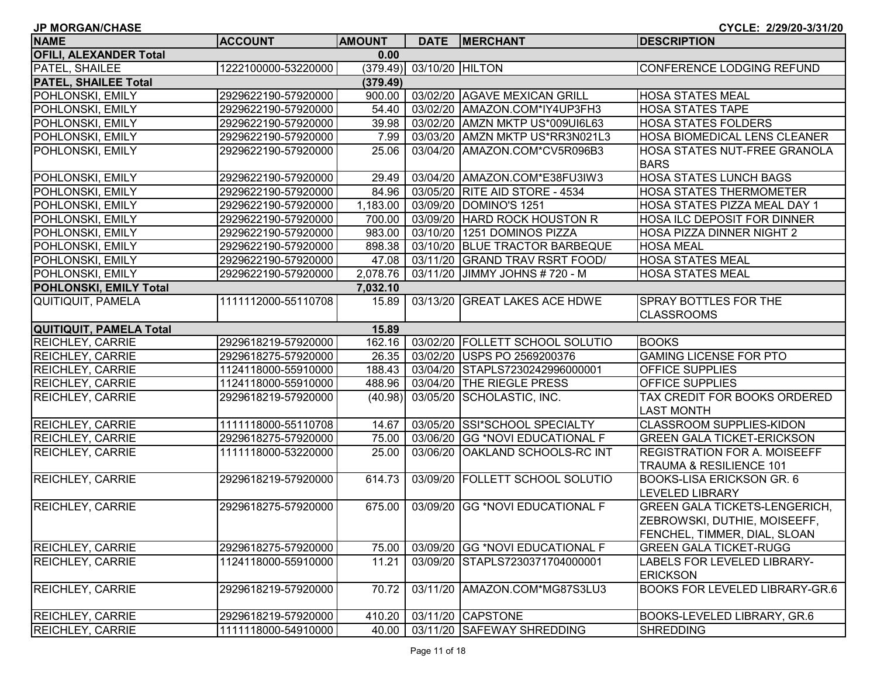| <b>JP MORGAN/CHASE</b>        |                     |               |                          |                                 | CYCLE: 2/29/20-3/31/20                |
|-------------------------------|---------------------|---------------|--------------------------|---------------------------------|---------------------------------------|
| <b>NAME</b>                   | <b>ACCOUNT</b>      | <b>AMOUNT</b> |                          | DATE MERCHANT                   | <b>DESCRIPTION</b>                    |
| <b>OFILI, ALEXANDER Total</b> |                     | 0.00          |                          |                                 |                                       |
| PATEL, SHAILEE                | 1222100000-53220000 |               | (379.49) 03/10/20 HILTON |                                 | CONFERENCE LODGING REFUND             |
| <b>PATEL, SHAILEE Total</b>   |                     | (379.49)      |                          |                                 |                                       |
| <b>POHLONSKI, EMILY</b>       | 2929622190-57920000 | 900.00        |                          | 03/02/20 AGAVE MEXICAN GRILL    | <b>HOSA STATES MEAL</b>               |
| POHLONSKI, EMILY              | 2929622190-57920000 | 54.40         |                          | 03/02/20 AMAZON.COM*IY4UP3FH3   | <b>HOSA STATES TAPE</b>               |
| POHLONSKI, EMILY              | 2929622190-57920000 | 39.98         |                          | 03/02/20 AMZN MKTP US*009UI6L63 | <b>HOSA STATES FOLDERS</b>            |
| POHLONSKI, EMILY              | 2929622190-57920000 | 7.99          |                          | 03/03/20 AMZN MKTP US*RR3N021L3 | HOSA BIOMEDICAL LENS CLEANER          |
| <b>POHLONSKI, EMILY</b>       | 2929622190-57920000 | 25.06         |                          | 03/04/20 AMAZON.COM*CV5R096B3   | HOSA STATES NUT-FREE GRANOLA          |
|                               |                     |               |                          |                                 | <b>BARS</b>                           |
| POHLONSKI, EMILY              | 2929622190-57920000 | 29.49         |                          | 03/04/20 AMAZON.COM*E38FU3IW3   | HOSA STATES LUNCH BAGS                |
| <b>POHLONSKI, EMILY</b>       | 2929622190-57920000 | 84.96         |                          | 03/05/20 RITE AID STORE - 4534  | <b>HOSA STATES THERMOMETER</b>        |
| POHLONSKI, EMILY              | 2929622190-57920000 | 1,183.00      |                          | 03/09/20 DOMINO'S 1251          | HOSA STATES PIZZA MEAL DAY 1          |
| POHLONSKI, EMILY              | 2929622190-57920000 | 700.00        |                          | 03/09/20 HARD ROCK HOUSTON R    | HOSA ILC DEPOSIT FOR DINNER           |
| POHLONSKI, EMILY              | 2929622190-57920000 | 983.00        |                          | 03/10/20 1251 DOMINOS PIZZA     | HOSA PIZZA DINNER NIGHT 2             |
| <b>POHLONSKI, EMILY</b>       | 2929622190-57920000 | 898.38        |                          | 03/10/20 BLUE TRACTOR BARBEQUE  | <b>HOSA MEAL</b>                      |
| POHLONSKI, EMILY              | 2929622190-57920000 | 47.08         |                          | 03/11/20 GRAND TRAV RSRT FOOD/  | <b>HOSA STATES MEAL</b>               |
| <b>POHLONSKI, EMILY</b>       | 2929622190-57920000 | 2,078.76      |                          | 03/11/20 JIMMY JOHNS # 720 - M  | <b>HOSA STATES MEAL</b>               |
| POHLONSKI, EMILY Total        |                     | 7,032.10      |                          |                                 |                                       |
| QUITIQUIT, PAMELA             | 1111112000-55110708 | 15.89         |                          | 03/13/20 GREAT LAKES ACE HDWE   | <b>SPRAY BOTTLES FOR THE</b>          |
|                               |                     |               |                          |                                 | <b>CLASSROOMS</b>                     |
| QUITIQUIT, PAMELA Total       |                     | 15.89         |                          |                                 |                                       |
| <b>REICHLEY, CARRIE</b>       | 2929618219-57920000 | 162.16        |                          | 03/02/20 FOLLETT SCHOOL SOLUTIO | <b>BOOKS</b>                          |
| <b>REICHLEY, CARRIE</b>       | 2929618275-57920000 | 26.35         |                          | 03/02/20 USPS PO 2569200376     | <b>GAMING LICENSE FOR PTO</b>         |
| <b>REICHLEY, CARRIE</b>       | 1124118000-55910000 | 188.43        |                          | 03/04/20 STAPLS7230242996000001 | <b>OFFICE SUPPLIES</b>                |
| <b>REICHLEY, CARRIE</b>       | 1124118000-55910000 | 488.96        |                          | 03/04/20 THE RIEGLE PRESS       | <b>OFFICE SUPPLIES</b>                |
| <b>REICHLEY, CARRIE</b>       | 2929618219-57920000 | (40.98)       |                          | 03/05/20 SCHOLASTIC, INC.       | TAX CREDIT FOR BOOKS ORDERED          |
|                               |                     |               |                          |                                 | <b>LAST MONTH</b>                     |
| <b>REICHLEY, CARRIE</b>       | 1111118000-55110708 | 14.67         |                          | 03/05/20 SSI*SCHOOL SPECIALTY   | CLASSROOM SUPPLIES-KIDON              |
| <b>REICHLEY, CARRIE</b>       | 2929618275-57920000 | 75.00         |                          | 03/06/20 GG *NOVI EDUCATIONAL F | <b>GREEN GALA TICKET-ERICKSON</b>     |
| <b>REICHLEY, CARRIE</b>       | 1111118000-53220000 | 25.00         | 03/06/20                 | <b>OAKLAND SCHOOLS-RC INT</b>   | <b>REGISTRATION FOR A. MOISEEFF</b>   |
|                               |                     |               |                          |                                 | <b>TRAUMA &amp; RESILIENCE 101</b>    |
| <b>REICHLEY, CARRIE</b>       | 2929618219-57920000 | 614.73        | 03/09/20                 | <b>FOLLETT SCHOOL SOLUTIO</b>   | <b>BOOKS-LISA ERICKSON GR. 6</b>      |
|                               |                     |               |                          |                                 | <b>LEVELED LIBRARY</b>                |
| <b>REICHLEY, CARRIE</b>       | 2929618275-57920000 | 675.00        |                          | 03/09/20 GG *NOVI EDUCATIONAL F | <b>GREEN GALA TICKETS-LENGERICH,</b>  |
|                               |                     |               |                          |                                 | ZEBROWSKI, DUTHIE, MOISEEFF,          |
|                               |                     |               |                          |                                 | FENCHEL, TIMMER, DIAL, SLOAN          |
| <b>REICHLEY, CARRIE</b>       | 2929618275-57920000 | 75.00         |                          | 03/09/20 GG *NOVI EDUCATIONAL F | <b>GREEN GALA TICKET-RUGG</b>         |
| <b>REICHLEY, CARRIE</b>       | 1124118000-55910000 | 11.21         |                          | 03/09/20 STAPLS7230371704000001 | LABELS FOR LEVELED LIBRARY-           |
|                               |                     |               |                          |                                 | <b>ERICKSON</b>                       |
| <b>REICHLEY, CARRIE</b>       | 2929618219-57920000 | 70.72         | 03/11/20                 | AMAZON.COM*MG87S3LU3            | <b>BOOKS FOR LEVELED LIBRARY-GR.6</b> |
|                               |                     |               |                          |                                 |                                       |
| <b>REICHLEY, CARRIE</b>       | 2929618219-57920000 | 410.20        |                          | 03/11/20 CAPSTONE               | BOOKS-LEVELED LIBRARY, GR.6           |
| <b>REICHLEY, CARRIE</b>       | 1111118000-54910000 | 40.00         |                          | 03/11/20 SAFEWAY SHREDDING      | <b>SHREDDING</b>                      |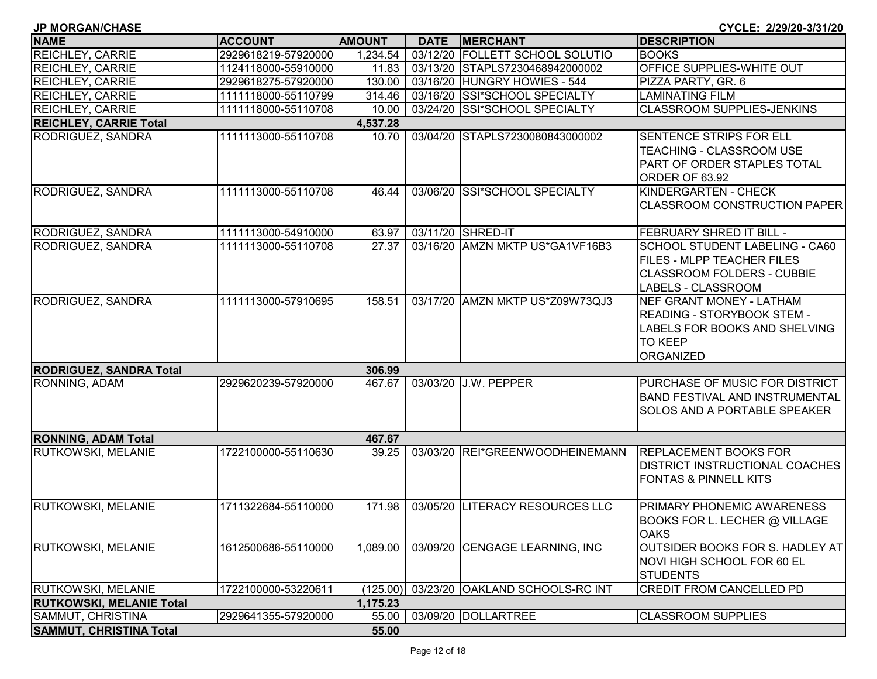| <b>JP MORGAN/CHASE</b>          |                     |               |             |                                 | CYCLE: 2/29/20-3/31/20                                                                                                                |
|---------------------------------|---------------------|---------------|-------------|---------------------------------|---------------------------------------------------------------------------------------------------------------------------------------|
| <b>NAME</b>                     | <b>ACCOUNT</b>      | <b>AMOUNT</b> | <b>DATE</b> | <b>MERCHANT</b>                 | <b>DESCRIPTION</b>                                                                                                                    |
| <b>REICHLEY, CARRIE</b>         | 2929618219-57920000 | 1,234.54      |             | 03/12/20 FOLLETT SCHOOL SOLUTIO | <b>BOOKS</b>                                                                                                                          |
| <b>REICHLEY, CARRIE</b>         | 1124118000-55910000 | 11.83         |             | 03/13/20 STAPLS7230468942000002 | OFFICE SUPPLIES-WHITE OUT                                                                                                             |
| <b>REICHLEY, CARRIE</b>         | 2929618275-57920000 | 130.00        |             | 03/16/20 HUNGRY HOWIES - 544    | PIZZA PARTY, GR. 6                                                                                                                    |
| <b>REICHLEY, CARRIE</b>         | 1111118000-55110799 | 314.46        |             | 03/16/20 SSI*SCHOOL SPECIALTY   | <b>LAMINATING FILM</b>                                                                                                                |
| <b>REICHLEY, CARRIE</b>         | 1111118000-55110708 | 10.00         |             | 03/24/20 SSI*SCHOOL SPECIALTY   | <b>CLASSROOM SUPPLIES-JENKINS</b>                                                                                                     |
| <b>REICHLEY, CARRIE Total</b>   |                     | 4,537.28      |             |                                 |                                                                                                                                       |
| <b>RODRIGUEZ, SANDRA</b>        | 1111113000-55110708 | 10.70         |             | 03/04/20 STAPLS7230080843000002 | <b>SENTENCE STRIPS FOR ELL</b><br>TEACHING - CLASSROOM USE<br>PART OF ORDER STAPLES TOTAL<br>ORDER OF 63.92                           |
| <b>RODRIGUEZ, SANDRA</b>        | 1111113000-55110708 | 46.44         |             | 03/06/20 SSI*SCHOOL SPECIALTY   | KINDERGARTEN - CHECK<br><b>CLASSROOM CONSTRUCTION PAPER</b>                                                                           |
| <b>RODRIGUEZ, SANDRA</b>        | 1111113000-54910000 | 63.97         |             | 03/11/20 SHRED-IT               | <b>FEBRUARY SHRED IT BILL -</b>                                                                                                       |
| <b>RODRIGUEZ, SANDRA</b>        | 1111113000-55110708 | 27.37         |             | 03/16/20 AMZN MKTP US*GA1VF16B3 | <b>SCHOOL STUDENT LABELING - CA60</b><br><b>FILES - MLPP TEACHER FILES</b><br><b>CLASSROOM FOLDERS - CUBBIE</b><br>LABELS - CLASSROOM |
| <b>RODRIGUEZ, SANDRA</b>        | 1111113000-57910695 | 158.51        |             | 03/17/20 AMZN MKTP US*Z09W73QJ3 | <b>NEF GRANT MONEY - LATHAM</b><br>READING - STORYBOOK STEM -<br>LABELS FOR BOOKS AND SHELVING<br><b>TO KEEP</b><br><b>ORGANIZED</b>  |
| <b>RODRIGUEZ, SANDRA Total</b>  |                     | 306.99        |             |                                 |                                                                                                                                       |
| <b>RONNING, ADAM</b>            | 2929620239-57920000 | 467.67        |             | 03/03/20 J.W. PEPPER            | PURCHASE OF MUSIC FOR DISTRICT<br>BAND FESTIVAL AND INSTRUMENTAL<br>SOLOS AND A PORTABLE SPEAKER                                      |
| <b>RONNING, ADAM Total</b>      |                     | 467.67        |             |                                 |                                                                                                                                       |
| <b>RUTKOWSKI, MELANIE</b>       | 1722100000-55110630 | 39.25         | 03/03/20    | REI*GREENWOODHEINEMANN          | <b>REPLACEMENT BOOKS FOR</b><br><b>DISTRICT INSTRUCTIONAL COACHES</b><br><b>FONTAS &amp; PINNELL KITS</b>                             |
| <b>RUTKOWSKI, MELANIE</b>       | 1711322684-55110000 | 171.98        |             | 03/05/20 LITERACY RESOURCES LLC | PRIMARY PHONEMIC AWARENESS<br>BOOKS FOR L. LECHER @ VILLAGE<br><b>OAKS</b>                                                            |
| <b>RUTKOWSKI, MELANIE</b>       | 1612500686-55110000 | 1,089.00      |             | 03/09/20 CENGAGE LEARNING, INC  | OUTSIDER BOOKS FOR S. HADLEY AT<br>NOVI HIGH SCHOOL FOR 60 EL<br><b>STUDENTS</b>                                                      |
| <b>RUTKOWSKI, MELANIE</b>       | 1722100000-53220611 | (125.00)      |             | 03/23/20 OAKLAND SCHOOLS-RC INT | <b>CREDIT FROM CANCELLED PD</b>                                                                                                       |
| <b>RUTKOWSKI, MELANIE Total</b> |                     | 1,175.23      |             |                                 |                                                                                                                                       |
| SAMMUT, CHRISTINA               | 2929641355-57920000 | 55.00         |             | 03/09/20 DOLLARTREE             | <b>CLASSROOM SUPPLIES</b>                                                                                                             |
| <b>SAMMUT, CHRISTINA Total</b>  |                     | 55.00         |             |                                 |                                                                                                                                       |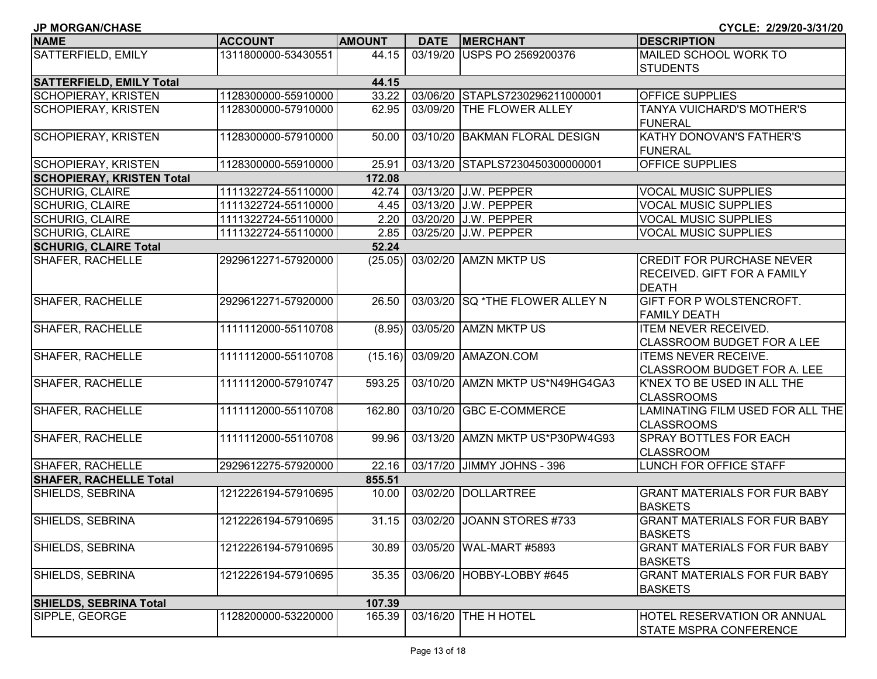| <b>JP MORGAN/CHASE</b>           |                     |               |             |                                  | CYCLE: 2/29/20-3/31/20              |
|----------------------------------|---------------------|---------------|-------------|----------------------------------|-------------------------------------|
| <b>NAME</b>                      | <b>ACCOUNT</b>      | <b>AMOUNT</b> | <b>DATE</b> | <b>MERCHANT</b>                  | <b>DESCRIPTION</b>                  |
| SATTERFIELD, EMILY               | 1311800000-53430551 | 44.15         |             | 03/19/20 USPS PO 2569200376      | MAILED SCHOOL WORK TO               |
|                                  |                     |               |             |                                  | <b>STUDENTS</b>                     |
| <b>SATTERFIELD, EMILY Total</b>  |                     | 44.15         |             |                                  |                                     |
| SCHOPIERAY, KRISTEN              | 1128300000-55910000 | 33.22         |             | 03/06/20 STAPLS7230296211000001  | <b>OFFICE SUPPLIES</b>              |
| SCHOPIERAY, KRISTEN              | 1128300000-57910000 | 62.95         |             | 03/09/20 THE FLOWER ALLEY        | TANYA VUICHARD'S MOTHER'S           |
|                                  |                     |               |             |                                  | <b>FUNERAL</b>                      |
| <b>SCHOPIERAY, KRISTEN</b>       | 1128300000-57910000 | 50.00         |             | 03/10/20 BAKMAN FLORAL DESIGN    | KATHY DONOVAN'S FATHER'S            |
|                                  |                     |               |             |                                  | <b>FUNERAL</b>                      |
| SCHOPIERAY, KRISTEN              | 1128300000-55910000 | 25.91         |             | 03/13/20 STAPLS7230450300000001  | <b>OFFICE SUPPLIES</b>              |
| <b>SCHOPIERAY, KRISTEN Total</b> |                     | 172.08        |             |                                  |                                     |
| <b>SCHURIG, CLAIRE</b>           | 1111322724-55110000 | 42.74         |             | 03/13/20 J.W. PEPPER             | <b>VOCAL MUSIC SUPPLIES</b>         |
| <b>SCHURIG, CLAIRE</b>           | 1111322724-55110000 | 4.45          |             | 03/13/20 J.W. PEPPER             | <b>VOCAL MUSIC SUPPLIES</b>         |
| <b>SCHURIG, CLAIRE</b>           | 1111322724-55110000 | 2.20          |             | 03/20/20 J.W. PEPPER             | <b>VOCAL MUSIC SUPPLIES</b>         |
| <b>SCHURIG, CLAIRE</b>           | 1111322724-55110000 | 2.85          |             | 03/25/20 J.W. PEPPER             | <b>VOCAL MUSIC SUPPLIES</b>         |
| <b>SCHURIG, CLAIRE Total</b>     |                     | 52.24         |             |                                  |                                     |
| <b>SHAFER, RACHELLE</b>          | 2929612271-57920000 | (25.05)       |             | 03/02/20 AMZN MKTP US            | <b>CREDIT FOR PURCHASE NEVER</b>    |
|                                  |                     |               |             |                                  | <b>RECEIVED. GIFT FOR A FAMILY</b>  |
|                                  |                     |               |             |                                  | <b>DEATH</b>                        |
| <b>SHAFER, RACHELLE</b>          | 2929612271-57920000 | 26.50         |             | 03/03/20 SQ *THE FLOWER ALLEY N  | GIFT FOR P WOLSTENCROFT.            |
|                                  |                     |               |             |                                  | <b>FAMILY DEATH</b>                 |
| <b>SHAFER, RACHELLE</b>          | 1111112000-55110708 | (8.95)        |             | 03/05/20 AMZN MKTP US            | <b>ITEM NEVER RECEIVED.</b>         |
|                                  |                     |               |             |                                  | <b>CLASSROOM BUDGET FOR A LEE</b>   |
| <b>SHAFER, RACHELLE</b>          | 1111112000-55110708 | (15.16)       |             | 03/09/20 AMAZON.COM              | <b>ITEMS NEVER RECEIVE.</b>         |
|                                  |                     |               |             |                                  | CLASSROOM BUDGET FOR A. LEE         |
| <b>SHAFER, RACHELLE</b>          | 1111112000-57910747 | 593.25        |             | 03/10/20 AMZN MKTP US*N49HG4GA3  | K'NEX TO BE USED IN ALL THE         |
|                                  |                     |               |             |                                  | <b>CLASSROOMS</b>                   |
| <b>SHAFER, RACHELLE</b>          | 1111112000-55110708 | 162.80        | 03/10/20    | <b>GBC E-COMMERCE</b>            | LAMINATING FILM USED FOR ALL THE    |
|                                  |                     |               |             |                                  | <b>CLASSROOMS</b>                   |
| <b>SHAFER, RACHELLE</b>          | 1111112000-55110708 | 99.96         |             | 03/13/20 AMZN MKTP US*P30PW4G93  | SPRAY BOTTLES FOR EACH              |
|                                  |                     |               |             |                                  | <b>CLASSROOM</b>                    |
| SHAFER, RACHELLE                 | 2929612275-57920000 | 22.16         |             | 03/17/20 JIMMY JOHNS - 396       | LUNCH FOR OFFICE STAFF              |
| <b>SHAFER, RACHELLE Total</b>    |                     | 855.51        |             |                                  |                                     |
| SHIELDS, SEBRINA                 | 1212226194-57910695 | 10.00         |             | 03/02/20 DOLLARTREE              | <b>GRANT MATERIALS FOR FUR BABY</b> |
|                                  |                     |               |             |                                  | <b>BASKETS</b>                      |
| SHIELDS, SEBRINA                 | 1212226194-57910695 |               |             | 31.15 03/02/20 JOANN STORES #733 | <b>GRANT MATERIALS FOR FUR BABY</b> |
|                                  |                     |               |             |                                  | <b>BASKETS</b>                      |
| SHIELDS, SEBRINA                 | 1212226194-57910695 | 30.89         |             | 03/05/20 WAL-MART #5893          | <b>GRANT MATERIALS FOR FUR BABY</b> |
|                                  |                     |               |             |                                  | <b>BASKETS</b>                      |
| SHIELDS, SEBRINA                 | 1212226194-57910695 | 35.35         |             | 03/06/20 HOBBY-LOBBY #645        | <b>GRANT MATERIALS FOR FUR BABY</b> |
|                                  |                     |               |             |                                  | <b>BASKETS</b>                      |
| <b>SHIELDS, SEBRINA Total</b>    |                     | 107.39        |             |                                  |                                     |
| SIPPLE, GEORGE                   | 1128200000-53220000 | 165.39        |             | 03/16/20 THE H HOTEL             | <b>HOTEL RESERVATION OR ANNUAL</b>  |
|                                  |                     |               |             |                                  | <b>STATE MSPRA CONFERENCE</b>       |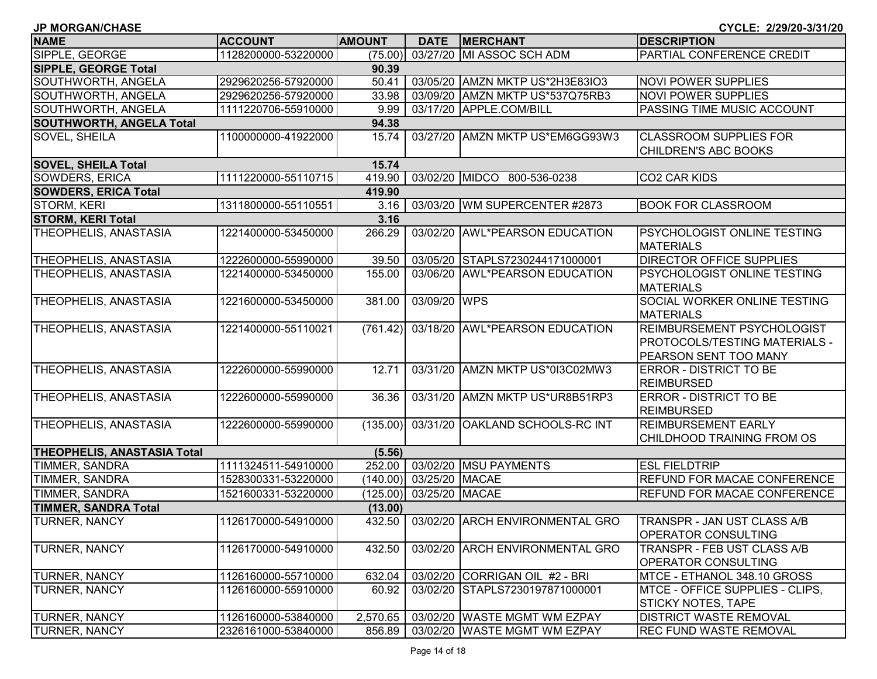| <b>JP MORGAN/CHASE</b>             |                     |               |                         |                                 | CYCLE: 2/29/20-3/31/20             |
|------------------------------------|---------------------|---------------|-------------------------|---------------------------------|------------------------------------|
| <b>NAME</b>                        | <b>ACCOUNT</b>      | <b>AMOUNT</b> | <b>DATE</b>             | <b>MERCHANT</b>                 | <b>DESCRIPTION</b>                 |
| SIPPLE, GEORGE                     | 1128200000-53220000 | (75.00)       |                         | 03/27/20 MI ASSOC SCH ADM       | PARTIAL CONFERENCE CREDIT          |
| <b>SIPPLE, GEORGE Total</b>        |                     | 90.39         |                         |                                 |                                    |
| SOUTHWORTH, ANGELA                 | 2929620256-57920000 | 50.41         |                         | 03/05/20 AMZN MKTP US*2H3E83IO3 | <b>NOVI POWER SUPPLIES</b>         |
| SOUTHWORTH, ANGELA                 | 2929620256-57920000 | 33.98         |                         | 03/09/20 AMZN MKTP US*537Q75RB3 | <b>NOVI POWER SUPPLIES</b>         |
| SOUTHWORTH, ANGELA                 | 1111220706-55910000 | 9.99          |                         | 03/17/20 APPLE.COM/BILL         | PASSING TIME MUSIC ACCOUNT         |
| <b>SOUTHWORTH, ANGELA Total</b>    |                     | 94.38         |                         |                                 |                                    |
| <b>SOVEL, SHEILA</b>               | 1100000000-41922000 | 15.74         |                         | 03/27/20 AMZN MKTP US*EM6GG93W3 | <b>CLASSROOM SUPPLIES FOR</b>      |
|                                    |                     |               |                         |                                 | CHILDREN'S ABC BOOKS               |
| <b>SOVEL, SHEILA Total</b>         |                     | 15.74         |                         |                                 |                                    |
| <b>SOWDERS, ERICA</b>              | 1111220000-55110715 | 419.90        |                         | 03/02/20 MIDCO 800-536-0238     | CO <sub>2</sub> CAR KIDS           |
| <b>SOWDERS, ERICA Total</b>        |                     | 419.90        |                         |                                 |                                    |
| STORM, KERI                        | 1311800000-55110551 | 3.16          |                         | 03/03/20 WM SUPERCENTER #2873   | <b>BOOK FOR CLASSROOM</b>          |
| <b>STORM, KERI Total</b>           |                     | 3.16          |                         |                                 |                                    |
| THEOPHELIS, ANASTASIA              | 1221400000-53450000 | 266.29        |                         | 03/02/20 AWL*PEARSON EDUCATION  | <b>PSYCHOLOGIST ONLINE TESTING</b> |
|                                    |                     |               |                         |                                 | <b>MATERIALS</b>                   |
| THEOPHELIS, ANASTASIA              | 1222600000-55990000 | 39.50         |                         | 03/05/20 STAPLS7230244171000001 | <b>DIRECTOR OFFICE SUPPLIES</b>    |
| THEOPHELIS, ANASTASIA              | 1221400000-53450000 | 155.00        |                         | 03/06/20 AWL*PEARSON EDUCATION  | PSYCHOLOGIST ONLINE TESTING        |
|                                    |                     |               |                         |                                 | <b>MATERIALS</b>                   |
| THEOPHELIS, ANASTASIA              | 1221600000-53450000 | 381.00        | 03/09/20 WPS            |                                 | SOCIAL WORKER ONLINE TESTING       |
|                                    |                     |               |                         |                                 | <b>MATERIALS</b>                   |
| THEOPHELIS, ANASTASIA              | 1221400000-55110021 | (761.42)      |                         | 03/18/20 AWL*PEARSON EDUCATION  | REIMBURSEMENT PSYCHOLOGIST         |
|                                    |                     |               |                         |                                 | PROTOCOLS/TESTING MATERIALS -      |
|                                    |                     |               |                         |                                 | PEARSON SENT TOO MANY              |
| THEOPHELIS, ANASTASIA              | 1222600000-55990000 | 12.71         |                         | 03/31/20 AMZN MKTP US*0I3C02MW3 | <b>ERROR - DISTRICT TO BE</b>      |
|                                    |                     |               |                         |                                 | <b>REIMBURSED</b>                  |
| THEOPHELIS, ANASTASIA              | 1222600000-55990000 | 36.36         |                         | 03/31/20 AMZN MKTP US*UR8B51RP3 | <b>ERROR - DISTRICT TO BE</b>      |
|                                    |                     |               |                         |                                 | <b>REIMBURSED</b>                  |
| THEOPHELIS, ANASTASIA              | 1222600000-55990000 | (135.00)      |                         | 03/31/20 OAKLAND SCHOOLS-RC INT | <b>REIMBURSEMENT EARLY</b>         |
|                                    |                     |               |                         |                                 | CHILDHOOD TRAINING FROM OS         |
| <b>THEOPHELIS, ANASTASIA Total</b> |                     | (5.56)        |                         |                                 |                                    |
| TIMMER, SANDRA                     | 1111324511-54910000 | 252.00        |                         | 03/02/20 MSU PAYMENTS           | <b>ESL FIELDTRIP</b>               |
| TIMMER, SANDRA                     | 1528300331-53220000 |               | (140.00) 03/25/20 MACAE |                                 | REFUND FOR MACAE CONFERENCE        |
| TIMMER, SANDRA                     | 1521600331-53220000 | (125.00)      | 03/25/20 MACAE          |                                 | REFUND FOR MACAE CONFERENCE        |
| <b>TIMMER, SANDRA Total</b>        |                     | (13.00)       |                         |                                 |                                    |
| TURNER, NANCY                      | 1126170000-54910000 | 432.50        |                         | 03/02/20 ARCH ENVIRONMENTAL GRO | TRANSPR - JAN UST CLASS A/B        |
|                                    |                     |               |                         |                                 | OPERATOR CONSULTING                |
| <b>TURNER, NANCY</b>               | 1126170000-54910000 | 432.50        |                         | 03/02/20 ARCH ENVIRONMENTAL GRO | TRANSPR - FEB UST CLASS A/B        |
|                                    |                     |               |                         |                                 | <b>OPERATOR CONSULTING</b>         |
| <b>TURNER, NANCY</b>               | 1126160000-55710000 | 632.04        |                         | 03/02/20 CORRIGAN OIL #2 - BRI  | MTCE - ETHANOL 348.10 GROSS        |
| <b>TURNER, NANCY</b>               | 1126160000-55910000 | 60.92         |                         | 03/02/20 STAPLS7230197871000001 | MTCE - OFFICE SUPPLIES - CLIPS,    |
|                                    |                     |               |                         |                                 | <b>STICKY NOTES, TAPE</b>          |
| <b>TURNER, NANCY</b>               | 1126160000-53840000 | 2,570.65      |                         | 03/02/20 WASTE MGMT WM EZPAY    | <b>DISTRICT WASTE REMOVAL</b>      |
| <b>TURNER, NANCY</b>               | 2326161000-53840000 | 856.89        |                         | 03/02/20 WASTE MGMT WM EZPAY    | <b>REC FUND WASTE REMOVAL</b>      |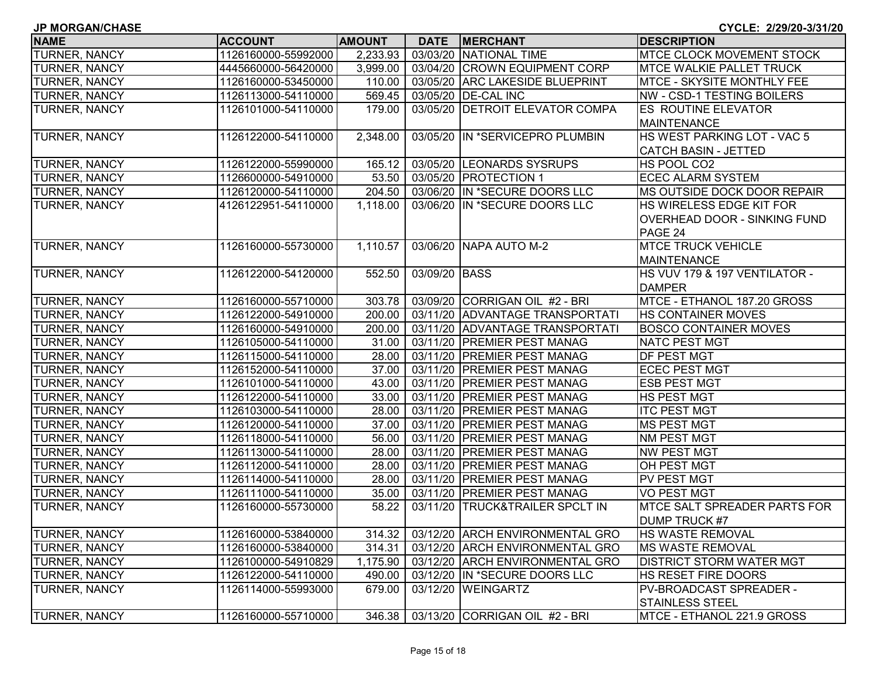| <b>JP MORGAN/CHASE</b><br>CYCLE: 2/29/20-3/31/20 |                     |               |               |                                 |                                     |  |
|--------------------------------------------------|---------------------|---------------|---------------|---------------------------------|-------------------------------------|--|
| <b>NAME</b>                                      | <b>ACCOUNT</b>      | <b>AMOUNT</b> | <b>DATE</b>   | <b>MERCHANT</b>                 | <b>DESCRIPTION</b>                  |  |
| TURNER, NANCY                                    | 1126160000-55992000 | 2,233.93      |               | 03/03/20 NATIONAL TIME          | <b>MTCE CLOCK MOVEMENT STOCK</b>    |  |
| <b>TURNER, NANCY</b>                             | 4445660000-56420000 | 3,999.00      |               | 03/04/20 CROWN EQUIPMENT CORP   | <b>MTCE WALKIE PALLET TRUCK</b>     |  |
| TURNER, NANCY                                    | 1126160000-53450000 | 110.00        |               | 03/05/20 ARC LAKESIDE BLUEPRINT | <b>MTCE - SKYSITE MONTHLY FEE</b>   |  |
| TURNER, NANCY                                    | 1126113000-54110000 | 569.45        |               | 03/05/20 DE-CAL INC             | NW - CSD-1 TESTING BOILERS          |  |
| <b>TURNER, NANCY</b>                             | 1126101000-54110000 | 179.00        |               | 03/05/20 DETROIT ELEVATOR COMPA | ES ROUTINE ELEVATOR                 |  |
|                                                  |                     |               |               |                                 | <b>MAINTENANCE</b>                  |  |
| <b>TURNER, NANCY</b>                             | 1126122000-54110000 | 2,348.00      |               | 03/05/20 IN *SERVICEPRO PLUMBIN | HS WEST PARKING LOT - VAC 5         |  |
|                                                  |                     |               |               |                                 | <b>CATCH BASIN - JETTED</b>         |  |
| <b>TURNER, NANCY</b>                             | 1126122000-55990000 | 165.12        |               | 03/05/20 LEONARDS SYSRUPS       | HS POOL CO2                         |  |
| <b>TURNER, NANCY</b>                             | 1126600000-54910000 | 53.50         |               | 03/05/20 PROTECTION 1           | <b>ECEC ALARM SYSTEM</b>            |  |
| <b>TURNER, NANCY</b>                             | 1126120000-54110000 | 204.50        |               | 03/06/20 IN *SECURE DOORS LLC   | MS OUTSIDE DOCK DOOR REPAIR         |  |
| <b>TURNER, NANCY</b>                             | 4126122951-54110000 | 1,118.00      |               | 03/06/20 IN *SECURE DOORS LLC   | HS WIRELESS EDGE KIT FOR            |  |
|                                                  |                     |               |               |                                 | <b>OVERHEAD DOOR - SINKING FUND</b> |  |
|                                                  |                     |               |               |                                 | PAGE 24                             |  |
| <b>TURNER, NANCY</b>                             | 1126160000-55730000 | 1,110.57      |               | 03/06/20 NAPA AUTO M-2          | <b>MTCE TRUCK VEHICLE</b>           |  |
|                                                  |                     |               |               |                                 | <b>MAINTENANCE</b>                  |  |
| <b>TURNER, NANCY</b>                             | 1126122000-54120000 | 552.50        | 03/09/20 BASS |                                 | HS VUV 179 & 197 VENTILATOR -       |  |
|                                                  |                     |               |               |                                 | <b>DAMPER</b>                       |  |
| <b>TURNER, NANCY</b>                             | 1126160000-55710000 | 303.78        |               | 03/09/20 CORRIGAN OIL #2 - BRI  | MTCE - ETHANOL 187.20 GROSS         |  |
| <b>TURNER, NANCY</b>                             | 1126122000-54910000 | 200.00        |               | 03/11/20 ADVANTAGE TRANSPORTATI | <b>HS CONTAINER MOVES</b>           |  |
| TURNER, NANCY                                    | 1126160000-54910000 | 200.00        |               | 03/11/20 ADVANTAGE TRANSPORTATI | <b>BOSCO CONTAINER MOVES</b>        |  |
| TURNER, NANCY                                    | 1126105000-54110000 | 31.00         |               | 03/11/20 PREMIER PEST MANAG     | <b>NATC PEST MGT</b>                |  |
| <b>TURNER, NANCY</b>                             | 1126115000-54110000 | 28.00         |               | 03/11/20 PREMIER PEST MANAG     | <b>DF PEST MGT</b>                  |  |
| <b>TURNER, NANCY</b>                             | 1126152000-54110000 | 37.00         |               | 03/11/20 PREMIER PEST MANAG     | <b>ECEC PEST MGT</b>                |  |
| <b>TURNER, NANCY</b>                             | 1126101000-54110000 | 43.00         |               | 03/11/20 PREMIER PEST MANAG     | <b>ESB PEST MGT</b>                 |  |
| <b>TURNER, NANCY</b>                             | 1126122000-54110000 | 33.00         |               | 03/11/20 PREMIER PEST MANAG     | <b>HS PEST MGT</b>                  |  |
| <b>TURNER, NANCY</b>                             | 1126103000-54110000 | 28.00         |               | 03/11/20 PREMIER PEST MANAG     | <b>ITC PEST MGT</b>                 |  |
| <b>TURNER, NANCY</b>                             | 1126120000-54110000 | 37.00         |               | 03/11/20 PREMIER PEST MANAG     | <b>MS PEST MGT</b>                  |  |
| TURNER, NANCY                                    | 1126118000-54110000 | 56.00         |               | 03/11/20 PREMIER PEST MANAG     | <b>NM PEST MGT</b>                  |  |
| <b>TURNER, NANCY</b>                             | 1126113000-54110000 | 28.00         |               | 03/11/20 PREMIER PEST MANAG     | <b>NW PEST MGT</b>                  |  |
| <b>TURNER, NANCY</b>                             | 1126112000-54110000 | 28.00         |               | 03/11/20 PREMIER PEST MANAG     | OH PEST MGT                         |  |
| <b>TURNER, NANCY</b>                             | 1126114000-54110000 | 28.00         |               | 03/11/20 PREMIER PEST MANAG     | <b>PV PEST MGT</b>                  |  |
| <b>TURNER, NANCY</b>                             | 1126111000-54110000 | 35.00         |               | 03/11/20 PREMIER PEST MANAG     | <b>VO PEST MGT</b>                  |  |
| <b>TURNER, NANCY</b>                             | 1126160000-55730000 | 58.22         |               | 03/11/20 TRUCK&TRAILER SPCLT IN | <b>MTCE SALT SPREADER PARTS FOR</b> |  |
|                                                  |                     |               |               |                                 | <b>DUMP TRUCK #7</b>                |  |
| <b>TURNER, NANCY</b>                             | 1126160000-53840000 | 314.32        |               | 03/12/20 ARCH ENVIRONMENTAL GRO | <b>HS WASTE REMOVAL</b>             |  |
| <b>TURNER, NANCY</b>                             | 1126160000-53840000 | 314.31        |               | 03/12/20 ARCH ENVIRONMENTAL GRO | IMS WASTE REMOVAL                   |  |
| <b>TURNER, NANCY</b>                             | 1126100000-54910829 | 1,175.90      |               | 03/12/20 ARCH ENVIRONMENTAL GRO | <b>DISTRICT STORM WATER MGT</b>     |  |
| <b>TURNER, NANCY</b>                             | 1126122000-54110000 | 490.00        |               | 03/12/20 IN *SECURE DOORS LLC   | <b>HS RESET FIRE DOORS</b>          |  |
| <b>TURNER, NANCY</b>                             | 1126114000-55993000 | 679.00        |               | 03/12/20 WEINGARTZ              | PV-BROADCAST SPREADER -             |  |
|                                                  |                     |               |               |                                 | <b>STAINLESS STEEL</b>              |  |
| <b>TURNER, NANCY</b>                             | 1126160000-55710000 | 346.38        |               | 03/13/20 CORRIGAN OIL #2 - BRI  | MTCE - ETHANOL 221.9 GROSS          |  |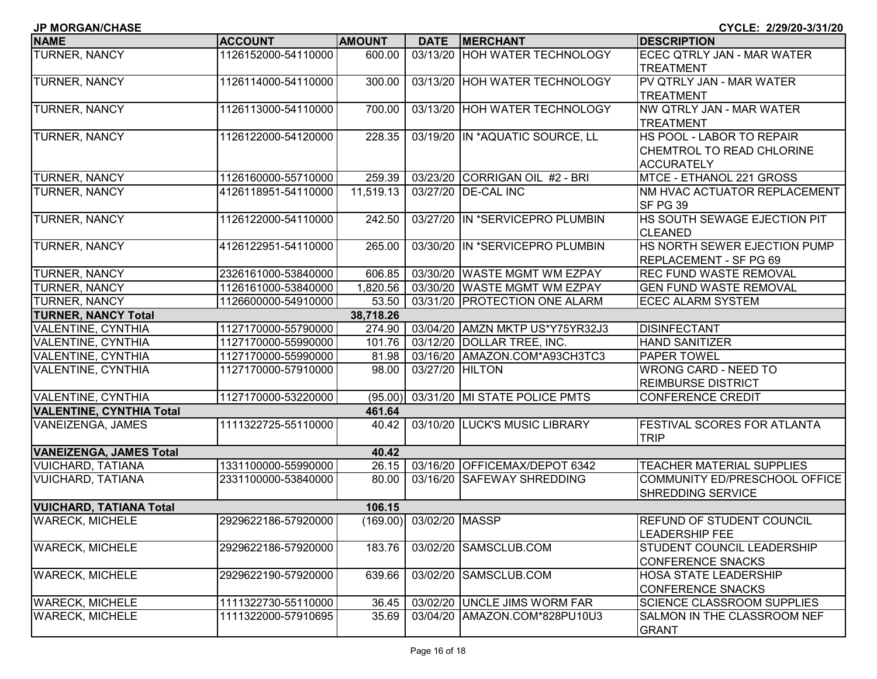| JP MORGAN/CHASE                                      |                     |                 |                         |                                 | CYCLE: 2/29/20-3/31/20             |
|------------------------------------------------------|---------------------|-----------------|-------------------------|---------------------------------|------------------------------------|
| <b>NAME</b>                                          | <b>ACCOUNT</b>      | <b>AMOUNT</b>   | <b>DATE</b>             | <b>MERCHANT</b>                 | <b>DESCRIPTION</b>                 |
| <b>TURNER, NANCY</b>                                 | 1126152000-54110000 | 600.00          |                         | 03/13/20 HOH WATER TECHNOLOGY   | ECEC QTRLY JAN - MAR WATER         |
|                                                      |                     |                 |                         |                                 | <b>TREATMENT</b>                   |
| <b>TURNER, NANCY</b>                                 | 1126114000-54110000 | 300.00          |                         | 03/13/20 HOH WATER TECHNOLOGY   | PV QTRLY JAN - MAR WATER           |
|                                                      |                     |                 |                         |                                 | <b>TREATMENT</b>                   |
| <b>TURNER, NANCY</b>                                 | 1126113000-54110000 | 700.00          |                         | 03/13/20 HOH WATER TECHNOLOGY   | NW QTRLY JAN - MAR WATER           |
|                                                      |                     |                 |                         |                                 | <b>TREATMENT</b>                   |
| <b>TURNER, NANCY</b>                                 | 1126122000-54120000 | 228.35          |                         | 03/19/20 IN *AQUATIC SOURCE, LL | HS POOL - LABOR TO REPAIR          |
|                                                      |                     |                 |                         |                                 | CHEMTROL TO READ CHLORINE          |
|                                                      |                     |                 |                         |                                 | <b>ACCURATELY</b>                  |
| <b>TURNER, NANCY</b>                                 | 1126160000-55710000 | 259.39          |                         | 03/23/20 CORRIGAN OIL #2 - BRI  | MTCE - ETHANOL 221 GROSS           |
| <b>TURNER, NANCY</b>                                 | 4126118951-54110000 | 11,519.13       |                         | 03/27/20 DE-CAL INC             | NM HVAC ACTUATOR REPLACEMENT       |
|                                                      |                     |                 |                         |                                 | SF PG 39                           |
| TURNER, NANCY                                        | 1126122000-54110000 | 242.50          |                         | 03/27/20 IN *SERVICEPRO PLUMBIN | HS SOUTH SEWAGE EJECTION PIT       |
|                                                      |                     |                 |                         |                                 | <b>CLEANED</b>                     |
| TURNER, NANCY                                        | 4126122951-54110000 | 265.00          |                         | 03/30/20 IN *SERVICEPRO PLUMBIN | HS NORTH SEWER EJECTION PUMP       |
|                                                      |                     |                 |                         |                                 | <b>REPLACEMENT - SF PG 69</b>      |
| <b>TURNER, NANCY</b>                                 | 2326161000-53840000 | 606.85          |                         | 03/30/20 WASTE MGMT WM EZPAY    | <b>REC FUND WASTE REMOVAL</b>      |
| <b>TURNER, NANCY</b>                                 | 1126161000-53840000 | 1,820.56        |                         | 03/30/20 WASTE MGMT WM EZPAY    | <b>GEN FUND WASTE REMOVAL</b>      |
| TURNER, NANCY                                        | 1126600000-54910000 | 53.50           |                         | 03/31/20 PROTECTION ONE ALARM   | <b>ECEC ALARM SYSTEM</b>           |
| <b>TURNER, NANCY Total</b>                           |                     | 38,718.26       |                         |                                 |                                    |
| VALENTINE, CYNTHIA                                   | 1127170000-55790000 | 274.90          |                         | 03/04/20 AMZN MKTP US*Y75YR32J3 | <b>DISINFECTANT</b>                |
| VALENTINE, CYNTHIA                                   | 1127170000-55990000 | 101.76          |                         | 03/12/20 DOLLAR TREE, INC.      | <b>HAND SANITIZER</b>              |
| VALENTINE, CYNTHIA                                   | 1127170000-55990000 | 81.98           |                         | 03/16/20 AMAZON.COM*A93CH3TC3   | <b>PAPER TOWEL</b>                 |
| VALENTINE, CYNTHIA                                   | 1127170000-57910000 | 98.00           | 03/27/20 HILTON         |                                 | <b>WRONG CARD - NEED TO</b>        |
| VALENTINE, CYNTHIA                                   |                     |                 |                         | 03/31/20 MI STATE POLICE PMTS   | <b>REIMBURSE DISTRICT</b>          |
|                                                      | 1127170000-53220000 | (95.00)         |                         |                                 | <b>CONFERENCE CREDIT</b>           |
| <b>VALENTINE, CYNTHIA Total</b><br>VANEIZENGA, JAMES | 1111322725-55110000 | 461.64<br>40.42 |                         | 03/10/20 LUCK'S MUSIC LIBRARY   | <b>FESTIVAL SCORES FOR ATLANTA</b> |
|                                                      |                     |                 |                         |                                 | <b>TRIP</b>                        |
| <b>VANEIZENGA, JAMES Total</b>                       |                     | 40.42           |                         |                                 |                                    |
| VUICHARD, TATIANA                                    | 1331100000-55990000 | 26.15           |                         | 03/16/20 OFFICEMAX/DEPOT 6342   | <b>TEACHER MATERIAL SUPPLIES</b>   |
| <b>VUICHARD, TATIANA</b>                             | 2331100000-53840000 | 80.00           |                         | 03/16/20 SAFEWAY SHREDDING      | COMMUNITY ED/PRESCHOOL OFFICE      |
|                                                      |                     |                 |                         |                                 | <b>SHREDDING SERVICE</b>           |
| <b>VUICHARD, TATIANA Total</b>                       |                     | 106.15          |                         |                                 |                                    |
| <b>WARECK, MICHELE</b>                               | 2929622186-57920000 |                 | (169.00) 03/02/20 MASSP |                                 | <b>REFUND OF STUDENT COUNCIL</b>   |
|                                                      |                     |                 |                         |                                 | <b>LEADERSHIP FEE</b>              |
| <b>WARECK, MICHELE</b>                               | 2929622186-57920000 | 183.76          |                         | 03/02/20 SAMSCLUB.COM           | STUDENT COUNCIL LEADERSHIP         |
|                                                      |                     |                 |                         |                                 | <b>CONFERENCE SNACKS</b>           |
| <b>WARECK, MICHELE</b>                               | 2929622190-57920000 | 639.66          |                         | 03/02/20 SAMSCLUB.COM           | <b>HOSA STATE LEADERSHIP</b>       |
|                                                      |                     |                 |                         |                                 | <b>CONFERENCE SNACKS</b>           |
| <b>WARECK, MICHELE</b>                               | 1111322730-55110000 | 36.45           |                         | 03/02/20 UNCLE JIMS WORM FAR    | <b>SCIENCE CLASSROOM SUPPLIES</b>  |
| <b>WARECK, MICHELE</b>                               | 1111322000-57910695 | 35.69           |                         | 03/04/20 AMAZON.COM*828PU10U3   | SALMON IN THE CLASSROOM NEF        |
|                                                      |                     |                 |                         |                                 | <b>GRANT</b>                       |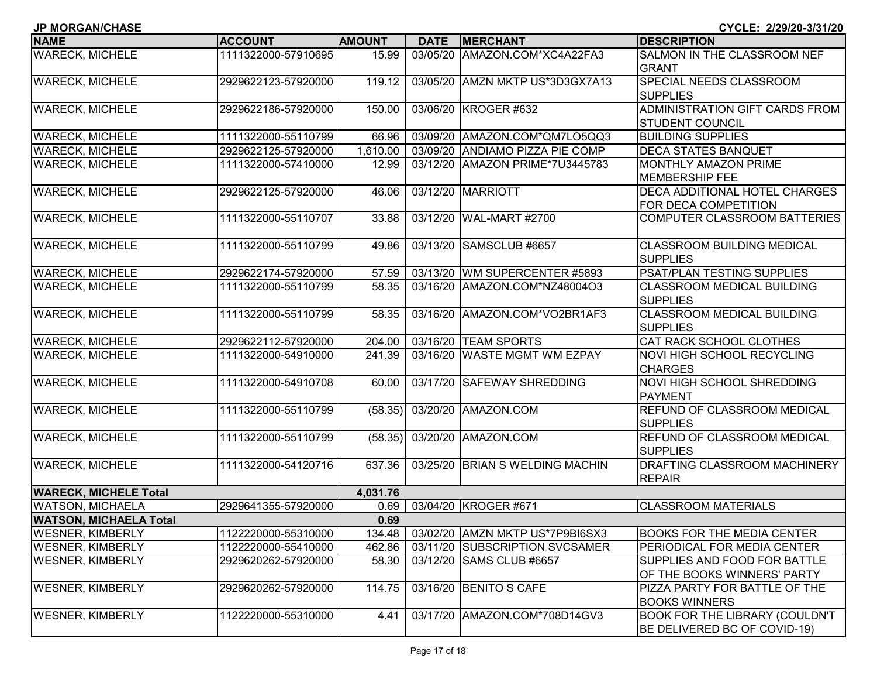| <b>JP MORGAN/CHASE</b>        |                     |               |             |                                 | CYCLE: 2/29/20-3/31/20                        |
|-------------------------------|---------------------|---------------|-------------|---------------------------------|-----------------------------------------------|
| <b>NAME</b>                   | <b>ACCOUNT</b>      | <b>AMOUNT</b> | <b>DATE</b> | <b>MERCHANT</b>                 | <b>DESCRIPTION</b>                            |
| <b>WARECK, MICHELE</b>        | 1111322000-57910695 | 15.99         |             | 03/05/20 AMAZON.COM*XC4A22FA3   | SALMON IN THE CLASSROOM NEF                   |
|                               |                     |               |             |                                 | <b>GRANT</b>                                  |
| <b>WARECK, MICHELE</b>        | 2929622123-57920000 | 119.12        |             | 03/05/20 AMZN MKTP US*3D3GX7A13 | SPECIAL NEEDS CLASSROOM                       |
|                               |                     |               |             |                                 | <b>SUPPLIES</b>                               |
| <b>WARECK, MICHELE</b>        | 2929622186-57920000 | 150.00        |             | 03/06/20 KROGER #632            | ADMINISTRATION GIFT CARDS FROM                |
|                               |                     |               |             |                                 | <b>STUDENT COUNCIL</b>                        |
| <b>WARECK, MICHELE</b>        | 1111322000-55110799 | 66.96         |             | 03/09/20 AMAZON.COM*QM7LO5QQ3   | <b>BUILDING SUPPLIES</b>                      |
| <b>WARECK, MICHELE</b>        | 2929622125-57920000 | 1,610.00      |             | 03/09/20 ANDIAMO PIZZA PIE COMP | <b>DECA STATES BANQUET</b>                    |
| <b>WARECK, MICHELE</b>        | 1111322000-57410000 | 12.99         |             | 03/12/20 AMAZON PRIME*7U3445783 | <b>MONTHLY AMAZON PRIME</b>                   |
|                               |                     |               |             |                                 | <b>MEMBERSHIP FEE</b>                         |
| <b>WARECK, MICHELE</b>        | 2929622125-57920000 | 46.06         |             | 03/12/20 MARRIOTT               | DECA ADDITIONAL HOTEL CHARGES                 |
|                               |                     |               |             |                                 | FOR DECA COMPETITION                          |
| <b>WARECK, MICHELE</b>        | 1111322000-55110707 | 33.88         | 03/12/20    | WAL-MART #2700                  | COMPUTER CLASSROOM BATTERIES                  |
|                               |                     |               |             |                                 |                                               |
| <b>WARECK, MICHELE</b>        | 1111322000-55110799 | 49.86         |             | 03/13/20 SAMSCLUB #6657         | <b>CLASSROOM BUILDING MEDICAL</b>             |
|                               |                     |               |             |                                 | <b>SUPPLIES</b>                               |
| <b>WARECK, MICHELE</b>        | 2929622174-57920000 | 57.59         |             | 03/13/20 WM SUPERCENTER #5893   | PSAT/PLAN TESTING SUPPLIES                    |
| <b>WARECK, MICHELE</b>        | 1111322000-55110799 | 58.35         |             | 03/16/20 AMAZON.COM*NZ48004O3   | <b>CLASSROOM MEDICAL BUILDING</b>             |
|                               |                     |               |             |                                 | <b>SUPPLIES</b>                               |
| <b>WARECK, MICHELE</b>        | 1111322000-55110799 | 58.35         |             | 03/16/20 AMAZON.COM*VO2BR1AF3   | <b>CLASSROOM MEDICAL BUILDING</b>             |
|                               |                     |               |             |                                 | <b>SUPPLIES</b>                               |
| <b>WARECK, MICHELE</b>        | 2929622112-57920000 | 204.00        |             | 03/16/20 TEAM SPORTS            | <b>CAT RACK SCHOOL CLOTHES</b>                |
| <b>WARECK, MICHELE</b>        | 1111322000-54910000 | 241.39        |             | 03/16/20 WASTE MGMT WM EZPAY    | <b>NOVI HIGH SCHOOL RECYCLING</b>             |
|                               |                     |               |             |                                 | <b>CHARGES</b>                                |
| <b>WARECK, MICHELE</b>        | 1111322000-54910708 | 60.00         |             | 03/17/20 SAFEWAY SHREDDING      | <b>NOVI HIGH SCHOOL SHREDDING</b>             |
| <b>WARECK, MICHELE</b>        | 1111322000-55110799 |               |             | 03/20/20 AMAZON.COM             | <b>PAYMENT</b><br>REFUND OF CLASSROOM MEDICAL |
|                               |                     | (58.35)       |             |                                 | <b>SUPPLIES</b>                               |
| <b>WARECK, MICHELE</b>        | 1111322000-55110799 | (58.35)       | 03/20/20    | AMAZON.COM                      | REFUND OF CLASSROOM MEDICAL                   |
|                               |                     |               |             |                                 | <b>SUPPLIES</b>                               |
| <b>WARECK, MICHELE</b>        | 1111322000-54120716 | 637.36        | 03/25/20    | <b>BRIAN S WELDING MACHIN</b>   | <b>DRAFTING CLASSROOM MACHINERY</b>           |
|                               |                     |               |             |                                 | <b>REPAIR</b>                                 |
| <b>WARECK, MICHELE Total</b>  |                     | 4,031.76      |             |                                 |                                               |
| <b>WATSON, MICHAELA</b>       | 2929641355-57920000 | 0.69          |             | 03/04/20 KROGER #671            | <b>CLASSROOM MATERIALS</b>                    |
| <b>WATSON, MICHAELA Total</b> |                     | 0.69          |             |                                 |                                               |
| <b>WESNER, KIMBERLY</b>       | 1122220000-55310000 | 134.48        |             | 03/02/20 AMZN MKTP US*7P9BI6SX3 | <b>BOOKS FOR THE MEDIA CENTER</b>             |
| WESNER, KIMBERLY              | 1122220000-55410000 | 462.86        |             | 03/11/20 SUBSCRIPTION SVCSAMER  | <b>PERIODICAL FOR MEDIA CENTER</b>            |
| <b>WESNER, KIMBERLY</b>       | 2929620262-57920000 | 58.30         |             | 03/12/20 SAMS CLUB #6657        | SUPPLIES AND FOOD FOR BATTLE                  |
|                               |                     |               |             |                                 | OF THE BOOKS WINNERS' PARTY                   |
| <b>WESNER, KIMBERLY</b>       | 2929620262-57920000 | 114.75        |             | 03/16/20 BENITO S CAFE          | PIZZA PARTY FOR BATTLE OF THE                 |
|                               |                     |               |             |                                 | <b>BOOKS WINNERS</b>                          |
| <b>WESNER, KIMBERLY</b>       | 1122220000-55310000 | 4.41          |             | 03/17/20 AMAZON.COM*708D14GV3   | <b>BOOK FOR THE LIBRARY (COULDN'T</b>         |
|                               |                     |               |             |                                 | BE DELIVERED BC OF COVID-19)                  |